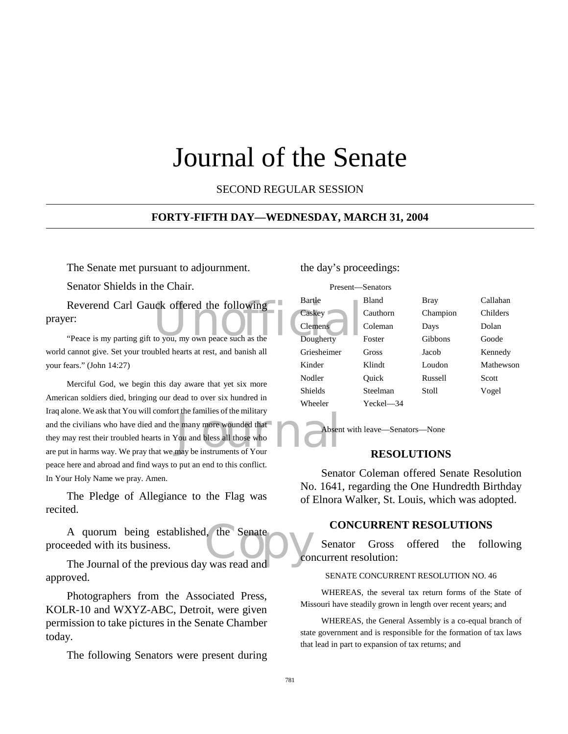## Journal of the Senate

SECOND REGULAR SESSION

#### **FORTY-FIFTH DAY—WEDNESDAY, MARCH 31, 2004**

The Senate met pursuant to adjournment.

Senator Shields in the Chair.

Reverend Carl Gauck offered the following<br>
Peace is my parting gift to you, my own peace such as the Dougherty prayer:

"Peace is my parting gift to you, my own peace such as the world cannot give. Set your troubled hearts at rest, and banish all your fears." (John 14:27)

In the civilians who have died and the many more wounded that<br>they may rest their troubled hearts in You and bless all those who<br>are put in harms way. We pray that we may be instruments of Your Merciful God, we begin this day aware that yet six more American soldiers died, bringing our dead to over six hundred in Iraq alone. We ask that You will comfort the families of the military and the civilians who have died and the many more wounded that they may rest their troubled hearts in You and bless all those who peace here and abroad and find ways to put an end to this conflict. In Your Holy Name we pray. Amen.

The Pledge of Allegiance to the Flag was recited.

A quorum being established, the Senate<br>
eeded with its business.<br>
The Journal of the previous day was read and proceeded with its business.

The Journal of the previous day was read and approved.

Photographers from the Associated Press, KOLR-10 and WXYZ-ABC, Detroit, were given permission to take pictures in the Senate Chamber today.

The following Senators were present during

the day's proceedings:

|  |                | Present-Senators |             |           |
|--|----------------|------------------|-------------|-----------|
|  | Bartle         | <b>Bland</b>     | <b>Bray</b> | Callahan  |
|  | Caskey         | Cauthorn         | Champion    | Childers  |
|  | Clemens        | Coleman          | Days        | Dolan     |
|  | Dougherty      | Foster           | Gibbons     | Goode     |
|  | Griesheimer    | Gross            | Jacob       | Kennedy   |
|  | Kinder         | Klindt           | Loudon      | Mathewson |
|  | Nodler         | Ouick            | Russell     | Scott     |
|  | <b>Shields</b> | Steelman         | Stoll       | Vogel     |
|  | Wheeler        | Yeckel—34        |             |           |

Absent with leave—Senators—None

#### **RESOLUTIONS**

Senator Coleman offered Senate Resolution No. 1641, regarding the One Hundredth Birthday of Elnora Walker, St. Louis, which was adopted.

#### **CONCURRENT RESOLUTIONS**

Senator Gross offered the following concurrent resolution:

#### SENATE CONCURRENT RESOLUTION NO. 46

WHEREAS, the several tax return forms of the State of Missouri have steadily grown in length over recent years; and

WHEREAS, the General Assembly is a co-equal branch of state government and is responsible for the formation of tax laws that lead in part to expansion of tax returns; and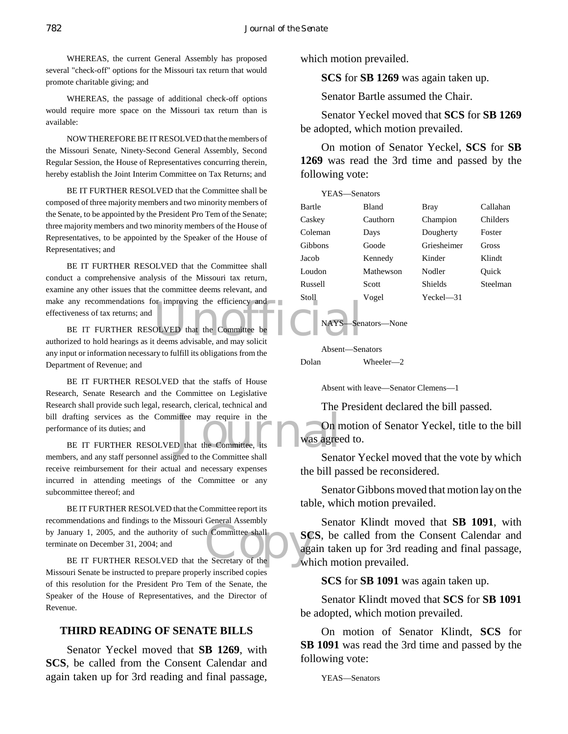WHEREAS, the current General Assembly has proposed several "check-off" options for the Missouri tax return that would promote charitable giving; and

WHEREAS, the passage of additional check-off options would require more space on the Missouri tax return than is available:

NOW THEREFORE BE IT RESOLVED that the members of the Missouri Senate, Ninety-Second General Assembly, Second Regular Session, the House of Representatives concurring therein, hereby establish the Joint Interim Committee on Tax Returns; and

BE IT FURTHER RESOLVED that the Committee shall be composed of three majority members and two minority members of the Senate, to be appointed by the President Pro Tem of the Senate; three majority members and two minority members of the House of Representatives, to be appointed by the Speaker of the House of Representatives; and

BE IT FURTHER RESOLVED that the Committee shall conduct a comprehensive analysis of the Missouri tax return, examine any other issues that the committee deems relevant, and make any recommendations for improving the efficiency and effectiveness of tax returns; and

make any recommendations for improving the efficiency and<br>effectiveness of tax returns; and<br>BE IT FURTHER RESOLVED that the Committee be<br>authorized to hold hearings as it deems advisable, and may solicit BE IT FURTHER RESOLVED that the Committee be any input or information necessary to fulfill its obligations from the Department of Revenue; and

bill drafting services as the Committee may require in the<br>performance of its duties; and<br>BE IT FURTHER RESOLVED that the Committee, its<br>members and any staff personnel escienced to the Committee shall BE IT FURTHER RESOLVED that the staffs of House Research, Senate Research and the Committee on Legislative Research shall provide such legal, research, clerical, technical and performance of its duties; and

BE IT FURTHER RESOLVED that the Committee, members, and any staff personnel assigned to the Committee shall receive reimbursement for their actual and necessary expenses incurred in attending meetings of the Committee or any subcommittee thereof; and

EXECUTE IT FURTHER RESOLVED that the Secretary of the White School of the Committee shall BE IT FURTHER RESOLVED that the Committee report its recommendations and findings to the Missouri General Assembly by January 1, 2005, and the authority of such Committee shall terminate on December 31, 2004; and

Missouri Senate be instructed to prepare properly inscribed copies of this resolution for the President Pro Tem of the Senate, the Speaker of the House of Representatives, and the Director of Revenue.

#### **THIRD READING OF SENATE BILLS**

Senator Yeckel moved that **SB 1269**, with **SCS**, be called from the Consent Calendar and again taken up for 3rd reading and final passage,

which motion prevailed.

**SCS** for **SB 1269** was again taken up.

Senator Bartle assumed the Chair.

Senator Yeckel moved that **SCS** for **SB 1269** be adopted, which motion prevailed.

On motion of Senator Yeckel, **SCS** for **SB 1269** was read the 3rd time and passed by the following vote:

| YEAS—Senators |              |                |          |  |
|---------------|--------------|----------------|----------|--|
| Bartle        | <b>Bland</b> | Bray           | Callahan |  |
| Caskey        | Cauthorn     | Champion       | Childers |  |
| Coleman       | Days         | Dougherty      | Foster   |  |
| Gibbons       | Goode        | Griesheimer    | Gross    |  |
| Jacob         | Kennedy      | Kinder         | Klindt   |  |
| Loudon        | Mathewson    | Nodler         | Ouick    |  |
| Russell       | Scott        | Shields        | Steelman |  |
| Stoll         | Vogel        | $Yeckel$ $-31$ |          |  |
|               |              |                |          |  |

#### Absent—Senators Dolan Wheeler—2

NAYS—Senators—None

Absent with leave—Senator Clemens—1

The President declared the bill passed.

On motion of Senator Yeckel, title to the bill was agreed to.

Senator Yeckel moved that the vote by which the bill passed be reconsidered.

Senator Gibbons moved that motion lay on the table, which motion prevailed.

Senator Klindt moved that **SB 1091**, with **SCS**, be called from the Consent Calendar and again taken up for 3rd reading and final passage, which motion prevailed.

**SCS** for **SB 1091** was again taken up.

Senator Klindt moved that **SCS** for **SB 1091** be adopted, which motion prevailed.

On motion of Senator Klindt, **SCS** for **SB 1091** was read the 3rd time and passed by the following vote:

YEAS—Senators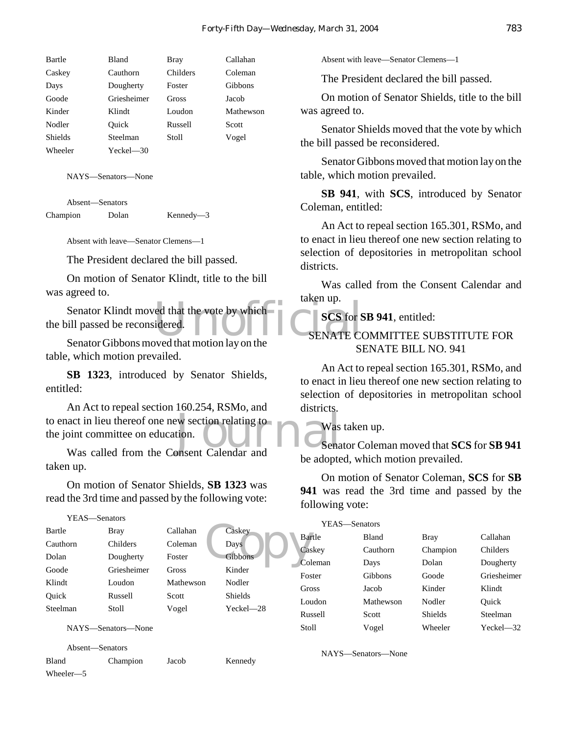| Bartle         | <b>Bland</b> | Bray     | Callahan  |
|----------------|--------------|----------|-----------|
| Caskey         | Cauthorn     | Childers | Coleman   |
| Days           | Dougherty    | Foster   | Gibbons   |
| Goode          | Griesheimer  | Gross    | Jacob     |
| Kinder         | Klindt       | Loudon   | Mathewson |
| Nodler         | Ouick        | Russell  | Scott     |
| <b>Shields</b> | Steelman     | Stoll    | Vogel     |
| Wheeler        | Yeckel—30    |          |           |

NAYS—Senators—None

Absent—Senators Champion Dolan Kennedy—3

Absent with leave—Senator Clemens—1

The President declared the bill passed.

On motion of Senator Klindt, title to the bill was agreed to.

Senator Klindt moved that the vote by which<br>
SENATE CONSERVATE CONSERVANCE CONSERVATE CONSERVATE CONSERVATE CONSERVATE the bill passed be reconsidered.

Senator Gibbons moved that motion lay on the table, which motion prevailed.

**SB 1323**, introduced by Senator Shields, entitled:

to enact in lieu thereof one new section relating to<br>the joint committee on education.<br>Was called from the Consent Calendar and An Act to repeal section 160.254, RSMo, and the joint committee on education.

Was called from the Consent Calendar and taken up.

On motion of Senator Shields, **SB 1323** was read the 3rd time and passed by the following vote:

```
YEAS—Senators
```

| Bartle   | Bray        | Callahan  | Caskey<br>Bar         |
|----------|-------------|-----------|-----------------------|
| Cauthorn | Childers    | Coleman   | Days<br>Cas           |
| Dolan    | Dougherty   | Foster    | <b>Gibbons</b><br>Col |
| Goode    | Griesheimer | Gross     | Kinder<br>Fos         |
| Klindt   | Loudon      | Mathewson | Nodler<br>Gro         |
| Ouick    | Russell     | Scott     | Shields<br>Lou        |
| Steelman | Stoll       | Vogel     | Yeckel-28<br>Rus      |
|          |             |           |                       |

NAYS—Senators—None

Absent—Senators

Bland Champion Jacob Kennedy Wheeler—5

Absent with leave—Senator Clemens—1

The President declared the bill passed.

On motion of Senator Shields, title to the bill was agreed to.

Senator Shields moved that the vote by which the bill passed be reconsidered.

Senator Gibbons moved that motion lay on the table, which motion prevailed.

**SB 941**, with **SCS**, introduced by Senator Coleman, entitled:

An Act to repeal section 165.301, RSMo, and to enact in lieu thereof one new section relating to selection of depositories in metropolitan school districts.

Was called from the Consent Calendar and taken up.

#### **SCS** for **SB 941**, entitled:

#### SENATE COMMITTEE SUBSTITUTE FOR SENATE BILL NO. 941

An Act to repeal section 165.301, RSMo, and to enact in lieu thereof one new section relating to selection of depositories in metropolitan school districts.

Was taken up.

Senator Coleman moved that **SCS** for **SB 941** be adopted, which motion prevailed.

On motion of Senator Coleman, **SCS** for **SB 941** was read the 3rd time and passed by the following vote:

| YEAS—Senators |              |                |                |  |
|---------------|--------------|----------------|----------------|--|
| Bartle        | <b>Bland</b> | Bray           | Callahan       |  |
| Caskey        | Cauthorn     | Champion       | Childers       |  |
| Coleman       | Days         | Dolan          | Dougherty      |  |
| Foster        | Gibbons      | Goode          | Griesheimer    |  |
| Gross         | Jacob        | Kinder         | Klindt         |  |
| Loudon        | Mathewson    | Nodler         | Ouick          |  |
| Russell       | Scott        | <b>Shields</b> | Steelman       |  |
| Stoll         | Vogel        | Wheeler        | $Yechel$ $-32$ |  |

NAYS—Senators—None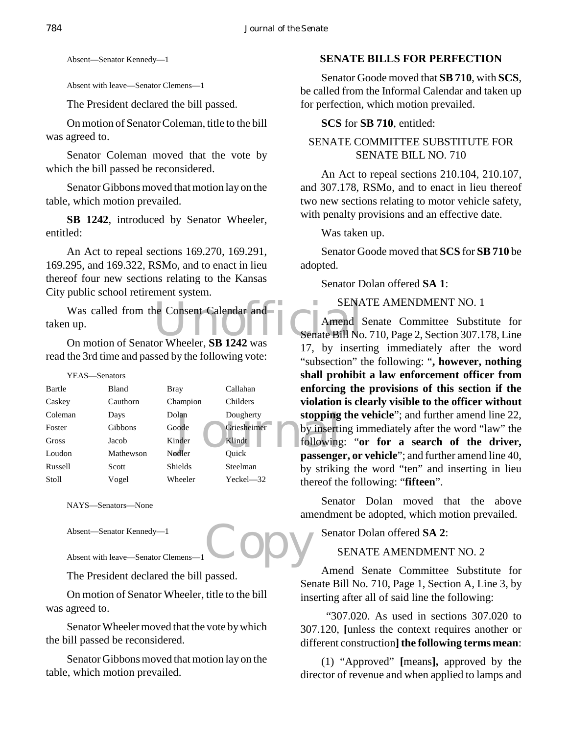Absent—Senator Kennedy—1

Absent with leave—Senator Clemens—1

The President declared the bill passed.

On motion of Senator Coleman, title to the bill was agreed to.

Senator Coleman moved that the vote by which the bill passed be reconsidered.

Senator Gibbons moved that motion lay on the table, which motion prevailed.

**SB 1242**, introduced by Senator Wheeler, entitled:

An Act to repeal sections 169.270, 169.291, 169.295, and 169.322, RSMo, and to enact in lieu thereof four new sections relating to the Kansas City public school retirement system.

Was called from the Consent Calendar and<br>
up.<br>
On motion of Senator Wheeler SB 1242 was<br>
Senate Bill No taken up.

On motion of Senator Wheeler, **SB 1242** was read the 3rd time and passed by the following vote:

| YEAS—Senators |           |          |             | shall pro  |
|---------------|-----------|----------|-------------|------------|
| Bartle        | Bland     | Bray     | Callahan    | enforcing  |
| Caskey        | Cauthorn  | Champion | Childers    | violation  |
| Coleman       | Days      | Dolan    | Dougherty   | stopping   |
| Foster        | Gibbons   | Goode    | Griesheimer | by inserti |
| Gross         | Jacob     | Kinder   | Klindt      | following  |
| Loudon        | Mathewson | Nodler   | Ouick       | passenge   |
| Russell       | Scott     | Shields  | Steelman    | by strikin |
| Stoll         | Vogel     | Wheeler  | Yeckel-32   | thereof th |

NAYS—Senators—None

Absent—Senator Kennedy—1

Absent with leave—Senator Clemens—1

The President declared the bill passed.

On motion of Senator Wheeler, title to the bill was agreed to.

Senator Wheeler moved that the vote by which the bill passed be reconsidered.

Senator Gibbons moved that motion lay on the table, which motion prevailed.

#### **SENATE BILLS FOR PERFECTION**

Senator Goode moved that **SB 710**, with **SCS**, be called from the Informal Calendar and taken up for perfection, which motion prevailed.

#### **SCS** for **SB 710**, entitled:

#### SENATE COMMITTEE SUBSTITUTE FOR SENATE BILL NO. 710

An Act to repeal sections 210.104, 210.107, and 307.178, RSMo, and to enact in lieu thereof two new sections relating to motor vehicle safety, with penalty provisions and an effective date.

Was taken up.

Senator Goode moved that **SCS** for **SB 710** be adopted.

Senator Dolan offered **SA 1**:

SENATE AMENDMENT NO. 1

Amend Senate Committee Substitute for Senate Bill No. 710, Page 2, Section 307.178, Line 17, by inserting immediately after the word "subsection" the following: "**, however, nothing shall prohibit a law enforcement officer from enforcing the provisions of this section if the violation is clearly visible to the officer without stopping the vehicle**"; and further amend line 22, by inserting immediately after the word "law" the following: "**or for a search of the driver, passenger, or vehicle**"; and further amend line 40, by striking the word "ten" and inserting in lieu thereof the following: "**fifteen**".

Senator Dolan moved that the above amendment be adopted, which motion prevailed.

Senator Dolan offered **SA 2**:

SENATE AMENDMENT NO. 2

Copy Amend Senate Committee Substitute for Senate Bill No. 710, Page 1, Section A, Line 3, by inserting after all of said line the following:

> "307.020. As used in sections 307.020 to 307.120, **[**unless the context requires another or different construction**] the following terms mean**:

> (1) "Approved" **[**means**],** approved by the director of revenue and when applied to lamps and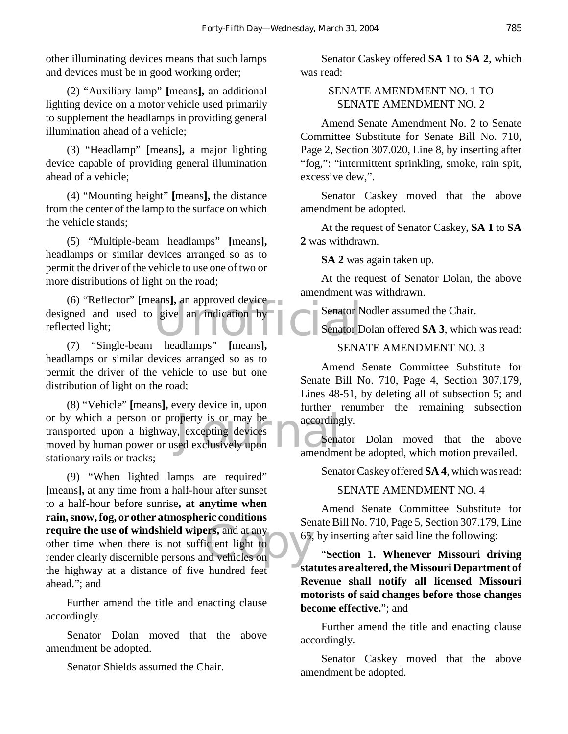other illuminating devices means that such lamps and devices must be in good working order;

(2) "Auxiliary lamp" **[**means**],** an additional lighting device on a motor vehicle used primarily to supplement the headlamps in providing general illumination ahead of a vehicle;

(3) "Headlamp" **[**means**],** a major lighting device capable of providing general illumination ahead of a vehicle;

(4) "Mounting height" **[**means**],** the distance from the center of the lamp to the surface on which the vehicle stands;

(5) "Multiple-beam headlamps" **[**means**],** headlamps or similar devices arranged so as to permit the driver of the vehicle to use one of two or more distributions of light on the road;

Example of the anti-<br>
Example of the separator D<br>
Senator D<br>
Senator D<br>
Senator D<br>
Senator D<br>
Senator D<br>
Senator D<br>
Senator D<br>
Senator D<br>
Senator D<br>
Senator D<br>
Senator D<br>
Senator D<br>
Senator D<br>
Senator D<br>
Senator D<br>
Senator (6) "Reflector" **[**means**],** an approved device designed and used to give an indication by reflected light;

(7) "Single-beam headlamps" **[**means**],** headlamps or similar devices arranged so as to permit the driver of the vehicle to use but one distribution of light on the road;

or by which a person or property is or may be<br>transported upon a highway, excepting devices<br>moved by human power or used exclusively upon (8) "Vehicle" **[**means**],** every device in, upon or by which a person or property is or may be transported upon a highway, excepting devices stationary rails or tracks;

**require the use of windshield wipers, and at any** other time when there is not sufficient light to render clearly discernible persons and vehicles on (9) "When lighted lamps are required" **[**means**],** at any time from a half-hour after sunset to a half-hour before sunrise**, at anytime when rain, snow, fog, or other atmospheric conditions** other time when there is not sufficient light to render clearly discernible persons and vehicles on the highway at a distance of five hundred feet ahead."; and

Further amend the title and enacting clause accordingly.

Senator Dolan moved that the above amendment be adopted.

Senator Shields assumed the Chair.

Senator Caskey offered **SA 1** to **SA 2**, which was read:

#### SENATE AMENDMENT NO. 1 TO SENATE AMENDMENT NO. 2

Amend Senate Amendment No. 2 to Senate Committee Substitute for Senate Bill No. 710, Page 2, Section 307.020, Line 8, by inserting after "fog,": "intermittent sprinkling, smoke, rain spit, excessive dew,".

Senator Caskey moved that the above amendment be adopted.

At the request of Senator Caskey, **SA 1** to **SA 2** was withdrawn.

**SA 2** was again taken up.

At the request of Senator Dolan, the above amendment was withdrawn.

Senator Nodler assumed the Chair.

Senator Dolan offered **SA 3**, which was read:

#### SENATE AMENDMENT NO. 3

Amend Senate Committee Substitute for Senate Bill No. 710, Page 4, Section 307.179, Lines 48-51, by deleting all of subsection 5; and further renumber the remaining subsection accordingly.

Senator Dolan moved that the above amendment be adopted, which motion prevailed.

Senator Caskey offered **SA 4**, which was read:

SENATE AMENDMENT NO. 4

Amend Senate Committee Substitute for Senate Bill No. 710, Page 5, Section 307.179, Line 65, by inserting after said line the following:

"**Section 1. Whenever Missouri driving statutes are altered, the Missouri Department of Revenue shall notify all licensed Missouri motorists of said changes before those changes become effective.**"; and

Further amend the title and enacting clause accordingly.

Senator Caskey moved that the above amendment be adopted.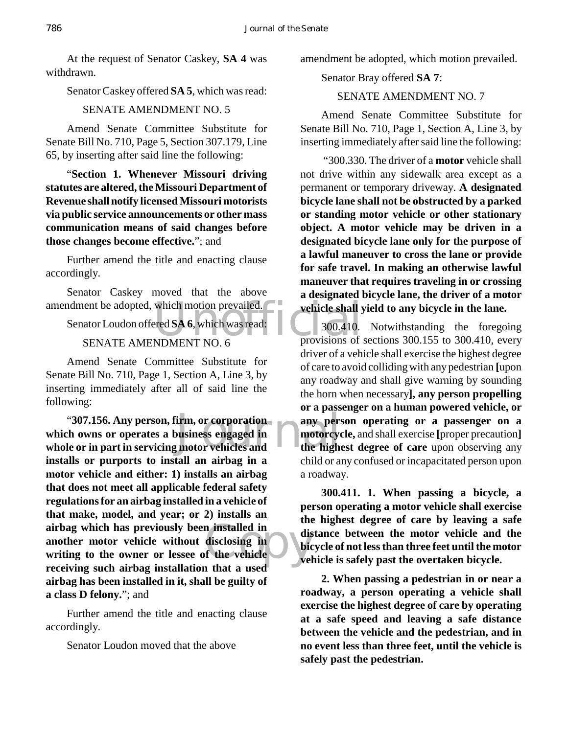At the request of Senator Caskey, **SA 4** was withdrawn.

Senator Caskey offered **SA 5**, which was read:

#### SENATE AMENDMENT NO. 5

Amend Senate Committee Substitute for Senate Bill No. 710, Page 5, Section 307.179, Line 65, by inserting after said line the following:

"**Section 1. Whenever Missouri driving statutes are altered, the Missouri Department of Revenue shall notify licensed Missouri motorists via public service announcements or other mass communication means of said changes before those changes become effective.**"; and

Further amend the title and enacting clause accordingly.

Senator Caskey moved that the above

amendment be adopted, which motion prevailed.<br>
Senator Loudon offered SA 6, which was read:<br>
SENATE AMENDMENT NO 6 provisions of Senator Loudon offered **SA 6**, which was read:

#### SENATE AMENDMENT NO. 6

Amend Senate Committee Substitute for Senate Bill No. 710, Page 1, Section A, Line 3, by inserting immediately after all of said line the following:

"307.156. Any person, firm, or corporation any person any person of the owns or operates a business engaged in **the motorcycle of the high**n installed in<br>disclosing in dis<br>f the vehicle<br>a that a used **which owns or operates a business engaged in whole or in part in servicing motor vehicles and installs or purports to install an airbag in a motor vehicle and either: 1) installs an airbag that does not meet all applicable federal safety regulations for an airbag installed in a vehicle of that make, model, and year; or 2) installs an airbag which has previously been installed in another motor vehicle without disclosing in writing to the owner or lessee of the vehicle receiving such airbag installation that a used airbag has been installed in it, shall be guilty of a class D felony.**"; and

Further amend the title and enacting clause accordingly.

Senator Loudon moved that the above

amendment be adopted, which motion prevailed.

Senator Bray offered **SA 7**:

#### SENATE AMENDMENT NO. 7

Amend Senate Committee Substitute for Senate Bill No. 710, Page 1, Section A, Line 3, by inserting immediately after said line the following:

 "300.330. The driver of a **motor** vehicle shall not drive within any sidewalk area except as a permanent or temporary driveway. **A designated bicycle lane shall not be obstructed by a parked or standing motor vehicle or other stationary object. A motor vehicle may be driven in a designated bicycle lane only for the purpose of a lawful maneuver to cross the lane or provide for safe travel. In making an otherwise lawful maneuver that requires traveling in or crossing a designated bicycle lane, the driver of a motor vehicle shall yield to any bicycle in the lane.**

300.410. Notwithstanding the foregoing provisions of sections 300.155 to 300.410, every driver of a vehicle shall exercise the highest degree of care to avoid colliding with any pedestrian **[**upon any roadway and shall give warning by sounding the horn when necessary**], any person propelling or a passenger on a human powered vehicle, or any person operating or a passenger on a motorcycle,** and shall exercise **[**proper precaution**] the highest degree of care** upon observing any child or any confused or incapacitated person upon a roadway.

**300.411. 1. When passing a bicycle, a person operating a motor vehicle shall exercise the highest degree of care by leaving a safe distance between the motor vehicle and the bicycle of not less than three feet until the motor vehicle is safely past the overtaken bicycle.**

**2. When passing a pedestrian in or near a roadway, a person operating a vehicle shall exercise the highest degree of care by operating at a safe speed and leaving a safe distance between the vehicle and the pedestrian, and in no event less than three feet, until the vehicle is safely past the pedestrian.**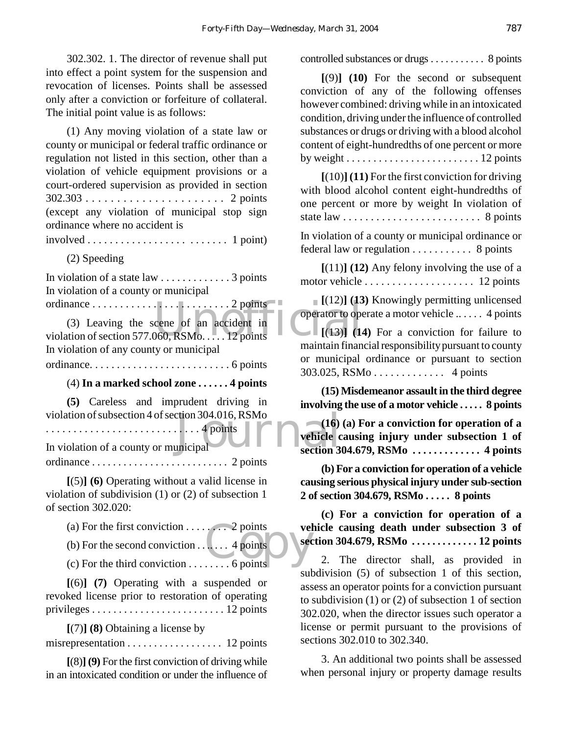302.302. 1. The director of revenue shall put into effect a point system for the suspension and revocation of licenses. Points shall be assessed only after a conviction or forfeiture of collateral. The initial point value is as follows:

(1) Any moving violation of a state law or county or municipal or federal traffic ordinance or regulation not listed in this section, other than a violation of vehicle equipment provisions or a court-ordered supervision as provided in section 302.303 . . . . . . . . . . . . . . . . . . . . . . 2 points (except any violation of municipal stop sign ordinance where no accident is

 $involved \ldots \ldots \ldots \ldots \ldots \ldots \ldots \ldots 1$  point)

(2) Speeding

In violation of a state law . . . . . . . . . . . . . 3 points In violation of a county or municipal

ordinance . . . . . . . . . . . . . . . . . . . . . . . . . 2 points

 $\begin{bmatrix} 1(12) & 1 & 1 \end{bmatrix}$ <br>
cene of an accident in<br>  $\begin{bmatrix} 0 & 0 \end{bmatrix}$  (13)] (14<br>  $\begin{bmatrix} 1(3) & 1 \end{bmatrix}$ (3) Leaving the scene of an accident in violation of section 577.060, RSMo. . . . . 12 points In violation of any county or municipal

ordinance. . . . . . . . . . . . . . . . . . . . . . . . . . 6 points

#### (4) **In a marked school zone . . . . . . 4 points**

**(5)** Careless and imprudent driving in

. . . . . . . . . . . . . . . . . . . . . . . . . . . . 4 points

violation of subsection 4 of section 304.016, RSMo<br>
In violation of a county or municipal<br>
The vehicle county of municipal In violation of a county or municipal ordinance . . . . . . . . . . . . . . . . . . . . . . . . . . 2 points

**[**(5)**] (6)** Operating without a valid license in violation of subdivision (1) or (2) of subsection 1 of section 302.020:

(a) For the first conviction  $\dots \dots \dots$  . 2 points

(b) For the second conviction  $\dots$  ... . 4 points

er and the Points<br>County of the Points<br>Copyright Section 4 points<br>Copyright Section 4 points (c) For the third conviction  $\dots \dots$  6 points

**[**(6)**] (7)** Operating with a suspended or revoked license prior to restoration of operating privileges . . . . . . . . . . . . . . . . . . . . . . . . . 12 points

**[**(7)**] (8)** Obtaining a license by

misrepresentation . . . . . . . . . . . . . . . . . . 12 points

**[**(8)**] (9)** For the first conviction of driving while in an intoxicated condition or under the influence of controlled substances or drugs . . . . . . . . . . . 8 points

**[**(9)**] (10)** For the second or subsequent conviction of any of the following offenses however combined: driving while in an intoxicated condition, driving under the influence of controlled substances or drugs or driving with a blood alcohol content of eight-hundredths of one percent or more by weight  $\dots \dots \dots \dots \dots \dots \dots \dots \dots 12$  points

**[**(10)**] (11)** For the first conviction for driving with blood alcohol content eight-hundredths of one percent or more by weight In violation of state law . . . . . . . . . . . . . . . . . . . . . . . . . 8 points

In violation of a county or municipal ordinance or federal law or regulation . . . . . . . . . . . 8 points

**[**(11)**] (12)** Any felony involving the use of a motor vehicle . . . . . . . . . . . . . . . . . . . . 12 points

**[**(12)**] (13)** Knowingly permitting unlicensed operator to operate a motor vehicle .. . . . . 4 points

**[**(13)**] (14)** For a conviction for failure to maintain financial responsibility pursuant to county or municipal ordinance or pursuant to section 303.025, RSMo . . . . . . . . . . . . . 4 points

**(15) Misdemeanor assault in the third degree involving the use of a motor vehicle . . . . . 8 points**

**(16) (a) For a conviction for operation of a vehicle causing injury under subsection 1 of section 304.679, RSMo . . . . . . . . . . . . . 4 points**

**(b) For a conviction for operation of a vehicle causing serious physical injury under sub-section 2 of section 304.679, RSMo . . . . . 8 points**

**(c) For a conviction for operation of a vehicle causing death under subsection 3 of section 304.679, RSMo . . . . . . . . . . . . . 12 points**

2. The director shall, as provided in subdivision (5) of subsection 1 of this section, assess an operator points for a conviction pursuant to subdivision (1) or (2) of subsection 1 of section 302.020, when the director issues such operator a license or permit pursuant to the provisions of sections 302.010 to 302.340.

3. An additional two points shall be assessed when personal injury or property damage results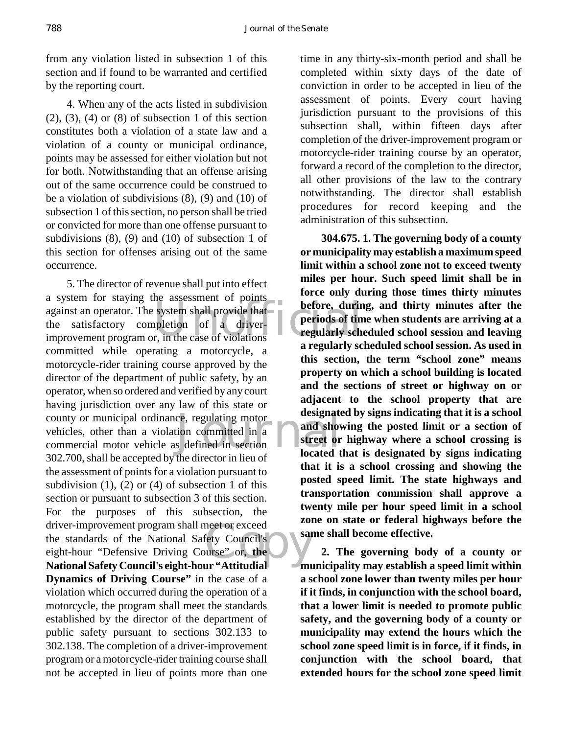from any violation listed in subsection 1 of this section and if found to be warranted and certified by the reporting court.

4. When any of the acts listed in subdivision  $(2)$ ,  $(3)$ ,  $(4)$  or  $(8)$  of subsection 1 of this section constitutes both a violation of a state law and a violation of a county or municipal ordinance, points may be assessed for either violation but not for both. Notwithstanding that an offense arising out of the same occurrence could be construed to be a violation of subdivisions (8), (9) and (10) of subsection 1 of this section, no person shall be tried or convicted for more than one offense pursuant to subdivisions (8), (9) and (10) of subsection 1 of this section for offenses arising out of the same occurrence.

against an operator. The system shall provide that<br>the satisfactory completion of a driver-<br>improvement program or, in the case of violations county or municipal ordinance, regulating motor<br>
vehicles, other than a violation committed in a<br>
commercial motor vehicle as defined in section<br>
200.700 by H and H and H and H and H and H and H and H and H and H and H and neet or exceed<br>fety Council's<br>durse" or, the 5. The director of revenue shall put into effect a system for staying the assessment of points the satisfactory completion of a driverimprovement program or, in the case of violations committed while operating a motorcycle, a motorcycle-rider training course approved by the director of the department of public safety, by an operator, when so ordered and verified by any court having jurisdiction over any law of this state or vehicles, other than a violation committed in a commercial motor vehicle as defined in section 302.700, shall be accepted by the director in lieu of the assessment of points for a violation pursuant to subdivision  $(1)$ ,  $(2)$  or  $(4)$  of subsection 1 of this section or pursuant to subsection 3 of this section. For the purposes of this subsection, the driver-improvement program shall meet or exceed the standards of the National Safety Council's eight-hour "Defensive Driving Course" or, **the National Safety Council's eight-hour "Attitudial Dynamics of Driving Course"** in the case of a violation which occurred during the operation of a motorcycle, the program shall meet the standards established by the director of the department of public safety pursuant to sections 302.133 to 302.138. The completion of a driver-improvement program or a motorcycle-rider training course shall not be accepted in lieu of points more than one

time in any thirty-six-month period and shall be completed within sixty days of the date of conviction in order to be accepted in lieu of the assessment of points. Every court having jurisdiction pursuant to the provisions of this subsection shall, within fifteen days after completion of the driver-improvement program or motorcycle-rider training course by an operator, forward a record of the completion to the director, all other provisions of the law to the contrary notwithstanding. The director shall establish procedures for record keeping and the administration of this subsection.

**304.675. 1. The governing body of a county or municipality may establish a maximum speed limit within a school zone not to exceed twenty miles per hour. Such speed limit shall be in force only during those times thirty minutes before, during, and thirty minutes after the periods of time when students are arriving at a regularly scheduled school session and leaving a regularly scheduled school session. As used in this section, the term "school zone" means property on which a school building is located and the sections of street or highway on or adjacent to the school property that are designated by signs indicating that it is a school and showing the posted limit or a section of street or highway where a school crossing is located that is designated by signs indicating that it is a school crossing and showing the posted speed limit. The state highways and transportation commission shall approve a twenty mile per hour speed limit in a school zone on state or federal highways before the same shall become effective.**

**2. The governing body of a county or municipality may establish a speed limit within a school zone lower than twenty miles per hour if it finds, in conjunction with the school board, that a lower limit is needed to promote public safety, and the governing body of a county or municipality may extend the hours which the school zone speed limit is in force, if it finds, in conjunction with the school board, that extended hours for the school zone speed limit**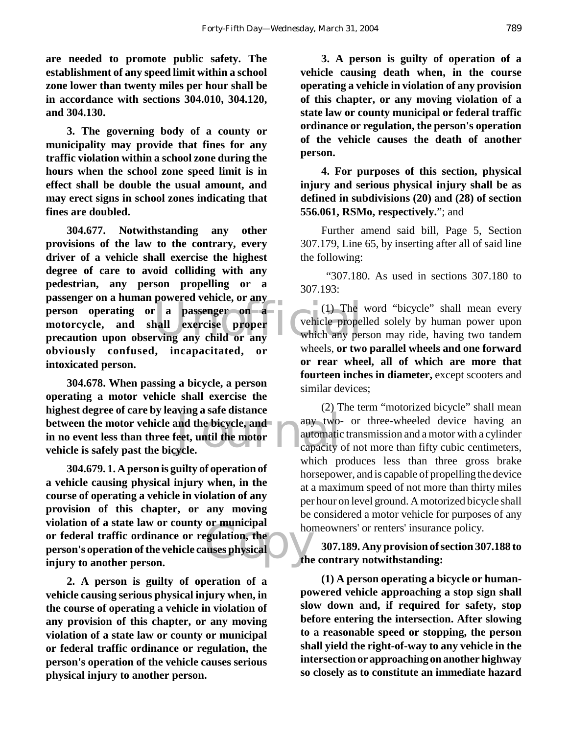**are needed to promote public safety. The establishment of any speed limit within a school zone lower than twenty miles per hour shall be in accordance with sections 304.010, 304.120, and 304.130.**

**3. The governing body of a county or municipality may provide that fines for any traffic violation within a school zone during the hours when the school zone speed limit is in effect shall be double the usual amount, and may erect signs in school zones indicating that fines are doubled.**

person operating or a passenger on a (1) The<br>motorcycle, and shall exercise proper<br>precaution upon observing any child or any which any per **304.677. Notwithstanding any other provisions of the law to the contrary, every driver of a vehicle shall exercise the highest degree of care to avoid colliding with any pedestrian, any person propelling or a passenger on a human powered vehicle, or any motorcycle, and shall exercise proper precaution upon observing any child or any obviously confused, incapacitated, or intoxicated person.**

a safe ustance<br>
any two-<br>
eet, until the motor<br>
ycle. **304.678. When passing a bicycle, a person operating a motor vehicle shall exercise the highest degree of care by leaving a safe distance between the motor vehicle and the bicycle, and in no event less than three feet, until the motor vehicle is safely past the bicycle.**

or municipal<br>egulation, the<br>uses physical **304.679. 1. A person is guilty of operation of a vehicle causing physical injury when, in the course of operating a vehicle in violation of any provision of this chapter, or any moving violation of a state law or county or municipal or federal traffic ordinance or regulation, the person's operation of the vehicle causes physical injury to another person.**

**2. A person is guilty of operation of a vehicle causing serious physical injury when, in the course of operating a vehicle in violation of any provision of this chapter, or any moving violation of a state law or county or municipal or federal traffic ordinance or regulation, the person's operation of the vehicle causes serious physical injury to another person.**

**3. A person is guilty of operation of a vehicle causing death when, in the course operating a vehicle in violation of any provision of this chapter, or any moving violation of a state law or county municipal or federal traffic ordinance or regulation, the person's operation of the vehicle causes the death of another person.**

**4. For purposes of this section, physical injury and serious physical injury shall be as defined in subdivisions (20) and (28) of section 556.061, RSMo, respectively.**"; and

Further amend said bill, Page 5, Section 307.179, Line 65, by inserting after all of said line the following:

 "307.180. As used in sections 307.180 to 307.193:

(1) The word "bicycle" shall mean every vehicle propelled solely by human power upon which any person may ride, having two tandem wheels, **or two parallel wheels and one forward or rear wheel, all of which are more that fourteen inches in diameter,** except scooters and similar devices;

(2) The term "motorized bicycle" shall mean any two- or three-wheeled device having an automatic transmission and a motor with a cylinder capacity of not more than fifty cubic centimeters, which produces less than three gross brake horsepower, and is capable of propelling the device at a maximum speed of not more than thirty miles per hour on level ground. A motorized bicycle shall be considered a motor vehicle for purposes of any homeowners' or renters' insurance policy.

**307.189. Any provision of section 307.188 to the contrary notwithstanding:**

**(1) A person operating a bicycle or humanpowered vehicle approaching a stop sign shall slow down and, if required for safety, stop before entering the intersection. After slowing to a reasonable speed or stopping, the person shall yield the right-of-way to any vehicle in the intersection or approaching on another highway so closely as to constitute an immediate hazard**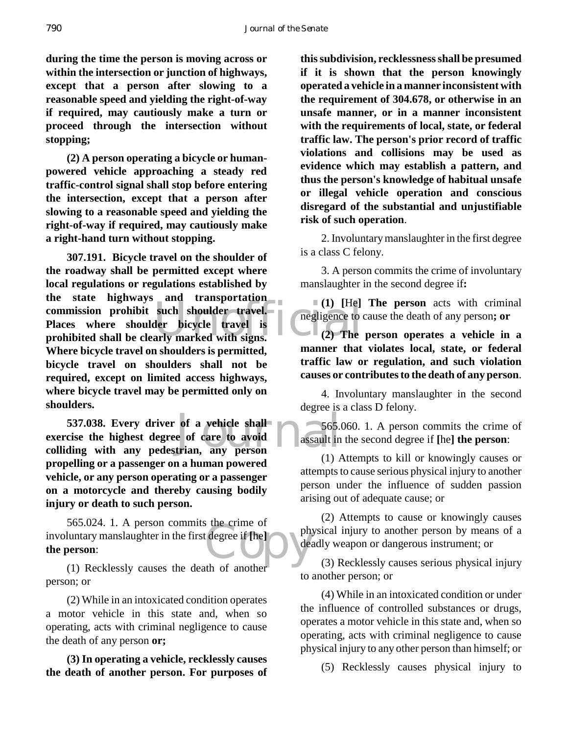**during the time the person is moving across or within the intersection or junction of highways, except that a person after slowing to a reasonable speed and yielding the right-of-way if required, may cautiously make a turn or proceed through the intersection without stopping;**

**(2) A person operating a bicycle or humanpowered vehicle approaching a steady red traffic-control signal shall stop before entering the intersection, except that a person after slowing to a reasonable speed and yielding the right-of-way if required, may cautiously make a right-hand turn without stopping.**

commission prohibit such shoulder travel.<br>
Places where shoulder bicycle travel is<br>
prohibited shall be clearly marked with signs. (2) The **307.191. Bicycle travel on the shoulder of the roadway shall be permitted except where local regulations or regulations established by the state highways and transportation Places where shoulder bicycle travel is prohibited shall be clearly marked with signs. Where bicycle travel on shoulders is permitted, bicycle travel on shoulders shall not be required, except on limited access highways, where bicycle travel may be permitted only on shoulders.**

537.038. Every driver of a vehicle shall<br>exercise the highest degree of care to avoid<br>colliding with any pedestrian, any person **537.038. Every driver of a vehicle shall exercise the highest degree of care to avoid propelling or a passenger on a human powered vehicle, or any person operating or a passenger on a motorcycle and thereby causing bodily injury or death to such person.**

 $\frac{1}{1}$  degree if  $\left[\text{he}\right]$ 565.024. 1. A person commits the crime of involuntary manslaughter in the first degree if **[**he**] the person**:

(1) Recklessly causes the death of another person; or

(2) While in an intoxicated condition operates a motor vehicle in this state and, when so operating, acts with criminal negligence to cause the death of any person **or;**

**(3) In operating a vehicle, recklessly causes the death of another person. For purposes of**

**this subdivision, recklessness shall be presumed if it is shown that the person knowingly operated a vehicle in a manner inconsistent with the requirement of 304.678, or otherwise in an unsafe manner, or in a manner inconsistent with the requirements of local, state, or federal traffic law. The person's prior record of traffic violations and collisions may be used as evidence which may establish a pattern, and thus the person's knowledge of habitual unsafe or illegal vehicle operation and conscious disregard of the substantial and unjustifiable risk of such operation**.

2. Involuntary manslaughter in the first degree is a class C felony.

3. A person commits the crime of involuntary manslaughter in the second degree if**:**

**(1) [**He**] The person** acts with criminal negligence to cause the death of any person**; or**

**(2) The person operates a vehicle in a manner that violates local, state, or federal traffic law or regulation, and such violation causes or contributes to the death of any person**.

4. Involuntary manslaughter in the second degree is a class D felony.

565.060. 1. A person commits the crime of assault in the second degree if **[**he**] the person**:

(1) Attempts to kill or knowingly causes or attempts to cause serious physical injury to another person under the influence of sudden passion arising out of adequate cause; or

(2) Attempts to cause or knowingly causes physical injury to another person by means of a deadly weapon or dangerous instrument; or

(3) Recklessly causes serious physical injury to another person; or

(4) While in an intoxicated condition or under the influence of controlled substances or drugs, operates a motor vehicle in this state and, when so operating, acts with criminal negligence to cause physical injury to any other person than himself; or

(5) Recklessly causes physical injury to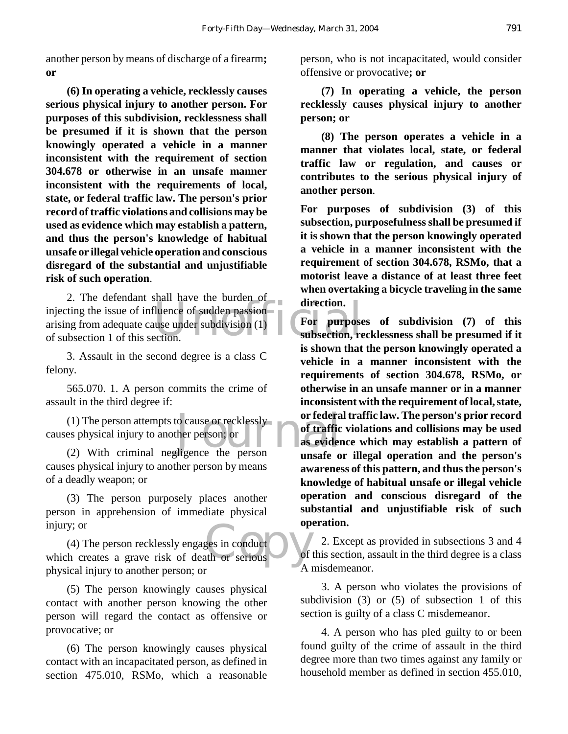another person by means of discharge of a firearm**; or**

**(6) In operating a vehicle, recklessly causes serious physical injury to another person. For purposes of this subdivision, recklessness shall be presumed if it is shown that the person knowingly operated a vehicle in a manner inconsistent with the requirement of section 304.678 or otherwise in an unsafe manner inconsistent with the requirements of local, state, or federal traffic law. The person's prior record of traffic violations and collisions may be used as evidence which may establish a pattern, and thus the person's knowledge of habitual unsafe or illegal vehicle operation and conscious disregard of the substantial and unjustifiable risk of such operation**.

2. The detendant shart have the butden of<br>
injecting the issue of influence of sudden passion<br>
arising from adequate cause under subdivision (1)<br>
of subsection, re<br>
subsection, re 2. The defendant shall have the burden of arising from adequate cause under subdivision (1) of subsection 1 of this section.

3. Assault in the second degree is a class C felony.

565.070. 1. A person commits the crime of assault in the third degree if:

(1) The person attempts to cause or recklessly<br>
es physical injury to another person; or<br>
(2) With criminal negligence the person<br>  $\frac{1}{2}$  as evidents causes physical injury to another person; or

(2) With criminal negligence the person causes physical injury to another person by means of a deadly weapon; or

(3) The person purposely places another person in apprehension of immediate physical injury; or

ges in conduct<br>the or serious (4) The person recklessly engages in conduct which creates a grave risk of death or serious physical injury to another person; or

(5) The person knowingly causes physical contact with another person knowing the other person will regard the contact as offensive or provocative; or

(6) The person knowingly causes physical contact with an incapacitated person, as defined in section 475.010, RSMo, which a reasonable

person, who is not incapacitated, would consider offensive or provocative**; or**

**(7) In operating a vehicle, the person recklessly causes physical injury to another person; or**

**(8) The person operates a vehicle in a manner that violates local, state, or federal traffic law or regulation, and causes or contributes to the serious physical injury of another person**.

**For purposes of subdivision (3) of this subsection, purposefulness shall be presumed if it is shown that the person knowingly operated a vehicle in a manner inconsistent with the requirement of section 304.678, RSMo, that a motorist leave a distance of at least three feet when overtaking a bicycle traveling in the same direction.**

**For purposes of subdivision (7) of this subsection, recklessness shall be presumed if it is shown that the person knowingly operated a vehicle in a manner inconsistent with the requirements of section 304.678, RSMo, or otherwise in an unsafe manner or in a manner inconsistent with the requirement of local, state, or federal traffic law. The person's prior record of traffic violations and collisions may be used as evidence which may establish a pattern of unsafe or illegal operation and the person's awareness of this pattern, and thus the person's knowledge of habitual unsafe or illegal vehicle operation and conscious disregard of the substantial and unjustifiable risk of such operation.**

2. Except as provided in subsections 3 and 4 of this section, assault in the third degree is a class A misdemeanor.

3. A person who violates the provisions of subdivision (3) or (5) of subsection 1 of this section is guilty of a class C misdemeanor.

4. A person who has pled guilty to or been found guilty of the crime of assault in the third degree more than two times against any family or household member as defined in section 455.010,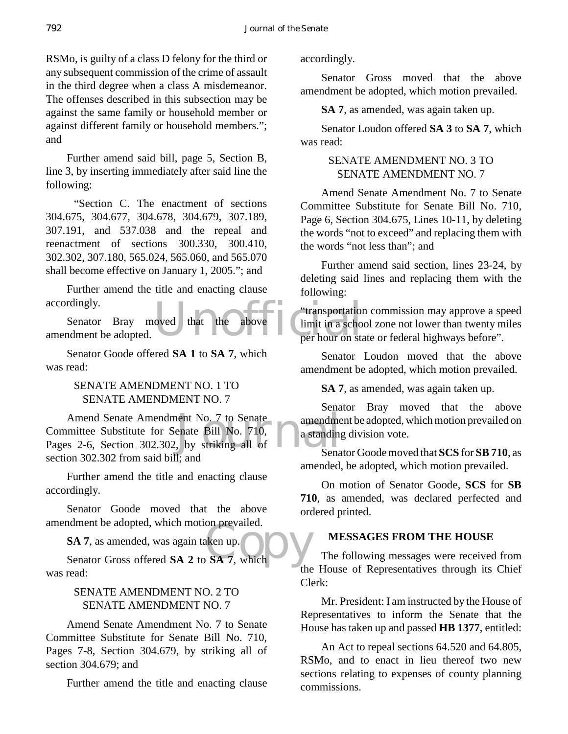RSMo, is guilty of a class D felony for the third or any subsequent commission of the crime of assault in the third degree when a class A misdemeanor. The offenses described in this subsection may be against the same family or household member or against different family or household members."; and

Further amend said bill, page 5, Section B, line 3, by inserting immediately after said line the following:

 "Section C. The enactment of sections 304.675, 304.677, 304.678, 304.679, 307.189, 307.191, and 537.038 and the repeal and reenactment of sections 300.330, 300.410, 302.302, 307.180, 565.024, 565.060, and 565.070 shall become effective on January 1, 2005."; and

Further amend the title and enacting clause accordingly.

oved that the above limit in a schoper hour on sta Senator Bray moved that the above amendment be adopted.

Senator Goode offered **SA 1** to **SA 7**, which was read:

#### SENATE AMENDMENT NO. 1 TO SENATE AMENDMENT NO. 7

Amend Senate Amendment No. 7 to Senate<br>
Committee Substitute for Senate Bill No. 710,<br>
Pages 2-6, Section 302.302, by striking all of<br>
Sena Amend Senate Amendment No. 7 to Senate Committee Substitute for Senate Bill No. 710, section 302.302 from said bill; and

Further amend the title and enacting clause accordingly.

Senator Goode moved that the above amendment be adopted, which motion prevailed.

SA 7, as amended, was again taken up.<br>Senator Gross offered SA 2 to SA 7, which **SA 7**, as amended, was again taken up.

was read:

#### SENATE AMENDMENT NO. 2 TO SENATE AMENDMENT NO. 7

Amend Senate Amendment No. 7 to Senate Committee Substitute for Senate Bill No. 710, Pages 7-8, Section 304.679, by striking all of section 304.679; and

Further amend the title and enacting clause

accordingly.

Senator Gross moved that the above amendment be adopted, which motion prevailed.

**SA 7**, as amended, was again taken up.

Senator Loudon offered **SA 3** to **SA 7**, which was read:

#### SENATE AMENDMENT NO. 3 TO SENATE AMENDMENT NO. 7

Amend Senate Amendment No. 7 to Senate Committee Substitute for Senate Bill No. 710, Page 6, Section 304.675, Lines 10-11, by deleting the words "not to exceed" and replacing them with the words "not less than"; and

Further amend said section, lines 23-24, by deleting said lines and replacing them with the following:

"transportation commission may approve a speed limit in a school zone not lower than twenty miles per hour on state or federal highways before".

Senator Loudon moved that the above amendment be adopted, which motion prevailed.

**SA 7**, as amended, was again taken up.

Senator Bray moved that the above amendment be adopted, which motion prevailed on a standing division vote.

Senator Goode moved that **SCS** for **SB 710**, as amended, be adopted, which motion prevailed.

On motion of Senator Goode, **SCS** for **SB 710**, as amended, was declared perfected and ordered printed.

#### **MESSAGES FROM THE HOUSE**

The following messages were received from the House of Representatives through its Chief Clerk:

Mr. President: I am instructed by the House of Representatives to inform the Senate that the House has taken up and passed **HB 1377**, entitled:

An Act to repeal sections 64.520 and 64.805, RSMo, and to enact in lieu thereof two new sections relating to expenses of county planning commissions.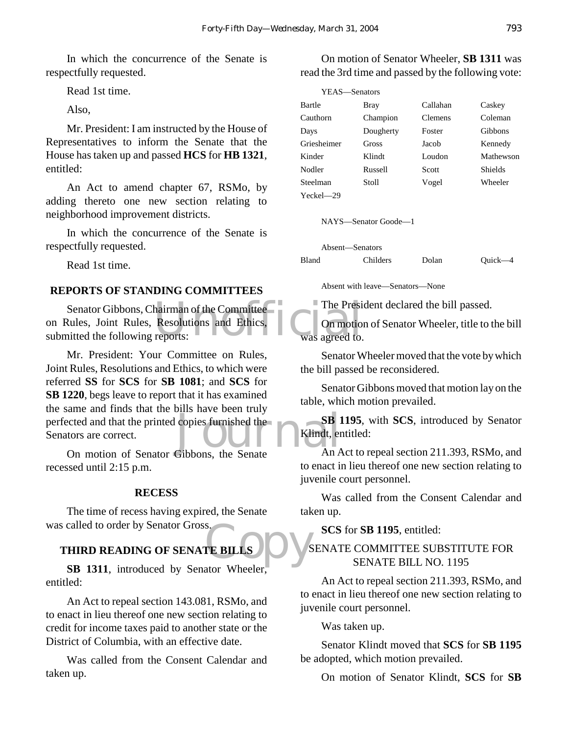In which the concurrence of the Senate is respectfully requested.

Read 1st time.

Also,

Mr. President: I am instructed by the House of Representatives to inform the Senate that the House has taken up and passed **HCS** for **HB 1321**, entitled:

An Act to amend chapter 67, RSMo, by adding thereto one new section relating to neighborhood improvement districts.

In which the concurrence of the Senate is respectfully requested.

Read 1st time.

#### **REPORTS OF STANDING COMMITTEES**

hairman of the Committee<br>Resolutions and Ethics, Commotion<br>reports: Was agreed to. Senator Gibbons, Chairman of the Committee on Rules, Joint Rules, Resolutions and Ethics, submitted the following reports:

Such a content of the state and that the printed copies furnished the<br>
Senators are correct.<br>
On motion of Senator Gibbons, the Senate An A Mr. President: Your Committee on Rules, Joint Rules, Resolutions and Ethics, to which were referred **SS** for **SCS** for **SB 1081**; and **SCS** for **SB 1220**, begs leave to report that it has examined the same and finds that the bills have been truly Senators are correct.

On motion of Senator Gibbons, the Senate recessed until 2:15 p.m.

#### **RECESS**

The time of recess having expired, the Senate was called to order by Senator Gross.

### S.<br>TE BILLS NO VS **THIRD READING OF SENATE BILLS**

**SB 1311**, introduced by Senator Wheeler, entitled:

An Act to repeal section 143.081, RSMo, and to enact in lieu thereof one new section relating to credit for income taxes paid to another state or the District of Columbia, with an effective date.

Was called from the Consent Calendar and taken up.

On motion of Senator Wheeler, **SB 1311** was read the 3rd time and passed by the following vote:

| YEAS—Senators |           |                |                |
|---------------|-----------|----------------|----------------|
| Bartle        | Bray      | Callahan       | Caskey         |
| Cauthorn      | Champion  | <b>Clemens</b> | Coleman        |
| Days          | Dougherty | Foster         | Gibbons        |
| Griesheimer   | Gross     | Jacob          | Kennedy        |
| Kinder        | Klindt    | Loudon         | Mathewson      |
| Nodler        | Russell   | Scott          | <b>Shields</b> |
| Steelman      | Stoll     | Vogel          | Wheeler        |
| $Yech = 29$   |           |                |                |

NAYS—Senator Goode—1

|       | Absent—Senators |       |           |
|-------|-----------------|-------|-----------|
| Bland | <b>Childers</b> | Dolan | $Quick-4$ |

Absent with leave—Senators—None

The President declared the bill passed.

On motion of Senator Wheeler, title to the bill was agreed to.

Senator Wheeler moved that the vote by which the bill passed be reconsidered.

Senator Gibbons moved that motion lay on the table, which motion prevailed.

**SB 1195**, with **SCS**, introduced by Senator Klindt, entitled:

An Act to repeal section 211.393, RSMo, and to enact in lieu thereof one new section relating to juvenile court personnel.

Was called from the Consent Calendar and taken up.

**SCS** for **SB 1195**, entitled:

#### SENATE COMMITTEE SUBSTITUTE FOR SENATE BILL NO. 1195

An Act to repeal section 211.393, RSMo, and to enact in lieu thereof one new section relating to juvenile court personnel.

Was taken up.

Senator Klindt moved that **SCS** for **SB 1195** be adopted, which motion prevailed.

On motion of Senator Klindt, **SCS** for **SB**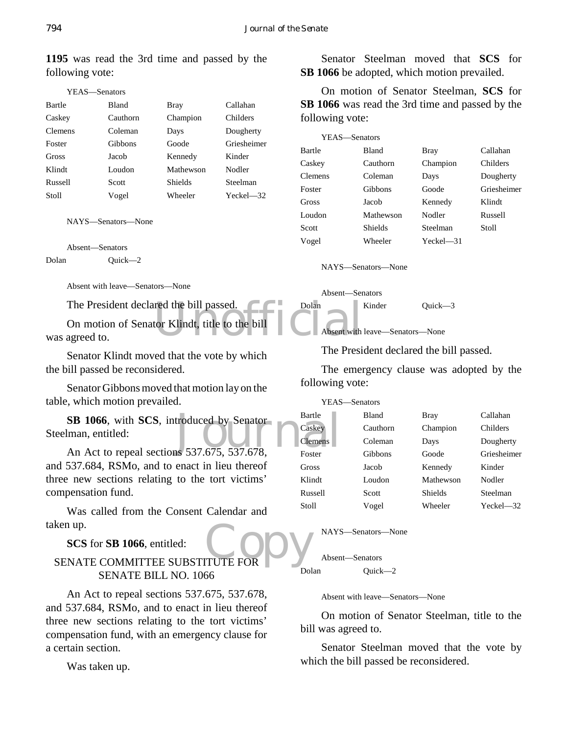| YEAS—Senators  |              |                |             |
|----------------|--------------|----------------|-------------|
| Bartle         | <b>Bland</b> | Bray           | Callahan    |
| Caskey         | Cauthorn     | Champion       | Childers    |
| <b>Clemens</b> | Coleman      | Days           | Dougherty   |
| Foster         | Gibbons      | Goode          | Griesheimer |
| Gross          | Jacob        | Kennedy        | Kinder      |
| Klindt         | Loudon       | Mathewson      | Nodler      |
| Russell        | Scott        | <b>Shields</b> | Steelman    |
| Stoll          | Vogel        | Wheeler        | $Yech = 32$ |

**1195** was read the 3rd time and passed by the following vote:

NAYS—Senators—None

Absent—Senators

Dolan Quick—2

Absent with leave—Senators—None

The President declared the bill passed.

Transfer de bill passed.<br>
Internation Klindt, title to the bill<br>
Absent with On motion of Senator Klindt, title to the bill was agreed to.

Senator Klindt moved that the vote by which the bill passed be reconsidered.

Senator Gibbons moved that motion lay on the table, which motion prevailed.

SB 1066, with SCS, introduced by Senator<br>
Iman, entitled:<br>
An Act to repeal sections 537.675, 537.678, **SB 1066**, with **SCS**, introduced by Senator Steelman, entitled:

and 537.684, RSMo, and to enact in lieu thereof three new sections relating to the tort victims' compensation fund.

Was called from the Consent Calendar and taken up.

**SCS** for **SB 1066**, entitled:

# ken up.<br>SENATE COMMITTEE SUBSTITUTE FOR SENATE BILL NO. 1066

An Act to repeal sections 537.675, 537.678, and 537.684, RSMo, and to enact in lieu thereof three new sections relating to the tort victims' compensation fund, with an emergency clause for a certain section.

Was taken up.

Senator Steelman moved that **SCS** for **SB 1066** be adopted, which motion prevailed.

On motion of Senator Steelman, **SCS** for **SB 1066** was read the 3rd time and passed by the following vote:

| YEAS-Senators |                |              |             |
|---------------|----------------|--------------|-------------|
| Bartle        | <b>Bland</b>   | <b>Bray</b>  | Callahan    |
| Caskey        | Cauthorn       | Champion     | Childers    |
| Clemens       | Coleman        | Days         | Dougherty   |
| Foster        | Gibbons        | Goode        | Griesheimer |
| Gross         | Jacob          | Kennedy      | Klindt      |
| Loudon        | Mathewson      | Nodler       | Russell     |
| Scott         | <b>Shields</b> | Steelman     | Stoll       |
| Vogel         | Wheeler        | $Yeckel$ —31 |             |
|               |                |              |             |

NAYS—Senators—None

Absent—Senators

Dolan Kinder Quick—3

Absent with leave—Senators—None

The President declared the bill passed.

The emergency clause was adopted by the following vote:

| YEAS-Senators  |          |                |                |
|----------------|----------|----------------|----------------|
| Bartle         | Bland    | Bray           | Callahan       |
| Caskey         | Cauthorn | Champion       | Childers       |
| <b>Clemens</b> | Coleman  | Days           | Dougherty      |
| Foster         | Gibbons  | Goode          | Griesheimer    |
| Gross          | Jacob    | Kennedy        | Kinder         |
| Klindt         | Loudon   | Mathewson      | Nodler         |
| Russell        | Scott    | <b>Shields</b> | Steelman       |
| <b>Stoll</b>   | Vogel    | Wheeler        | $Yechel$ $-32$ |

NAYS—Senators—None

Absent—Senators Dolan Quick—2

Absent with leave—Senators—None

On motion of Senator Steelman, title to the bill was agreed to.

Senator Steelman moved that the vote by which the bill passed be reconsidered.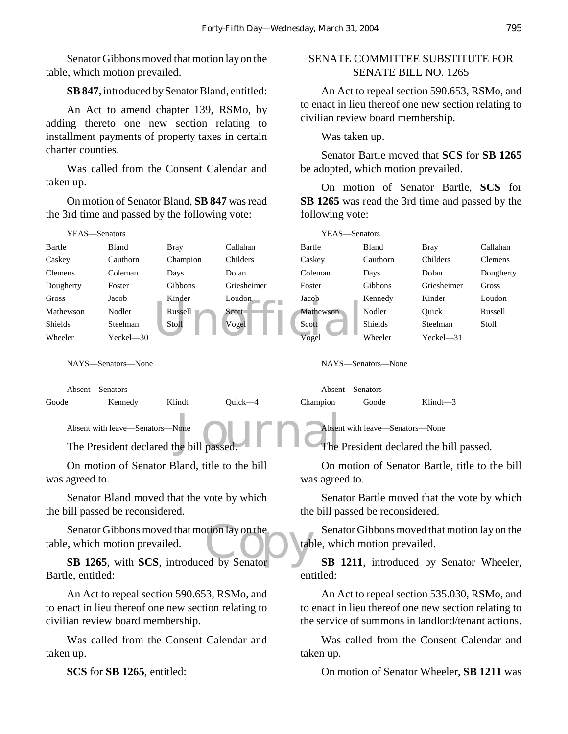Senator Gibbons moved that motion lay on the table, which motion prevailed.

#### **SB 847**, introduced by Senator Bland, entitled:

An Act to amend chapter 139, RSMo, by adding thereto one new section relating to installment payments of property taxes in certain charter counties.

Was called from the Consent Calendar and taken up.

On motion of Senator Bland, **SB 847** was read the 3rd time and passed by the following vote:

#### SENATE COMMITTEE SUBSTITUTE FOR SENATE BILL NO. 1265

An Act to repeal section 590.653, RSMo, and to enact in lieu thereof one new section relating to civilian review board membership.

Was taken up.

Senator Bartle moved that **SCS** for **SB 1265** be adopted, which motion prevailed.

On motion of Senator Bartle, **SCS** for **SB 1265** was read the 3rd time and passed by the following vote:

| YEAS-Senators                                                                                                                                                                                                                                               |                                                                                                                                          |                                              |             |                                                      | YEAS-Senators                                                                                                                                             |             |           |
|-------------------------------------------------------------------------------------------------------------------------------------------------------------------------------------------------------------------------------------------------------------|------------------------------------------------------------------------------------------------------------------------------------------|----------------------------------------------|-------------|------------------------------------------------------|-----------------------------------------------------------------------------------------------------------------------------------------------------------|-------------|-----------|
| Bartle                                                                                                                                                                                                                                                      | Bland                                                                                                                                    | <b>Bray</b>                                  | Callahan    | Bartle                                               | Bland                                                                                                                                                     | <b>Bray</b> | Callahan  |
| Caskey                                                                                                                                                                                                                                                      | Cauthorn                                                                                                                                 | Champion                                     | Childers    | Caskey                                               | Cauthorn                                                                                                                                                  | Childers    | Clemens   |
| <b>Clemens</b>                                                                                                                                                                                                                                              | Coleman                                                                                                                                  | Days                                         | Dolan       | Coleman                                              | Days                                                                                                                                                      | Dolan       | Dougherty |
| Dougherty                                                                                                                                                                                                                                                   | Foster                                                                                                                                   | Gibbons                                      | Griesheimer | Foster                                               | Gibbons                                                                                                                                                   | Griesheimer | Gross     |
| Gross                                                                                                                                                                                                                                                       | Jacob                                                                                                                                    | Kinder                                       | Loudon      | Jacob                                                | Kennedy                                                                                                                                                   | Kinder      | Loudon    |
| Mathewson                                                                                                                                                                                                                                                   | Nodler                                                                                                                                   | Russell                                      | Scott       | Mathewson                                            | Nodler                                                                                                                                                    | Quick       | Russell   |
| Shields                                                                                                                                                                                                                                                     | Steelman                                                                                                                                 | Stoll                                        | Vogel       | Scott                                                | Shields                                                                                                                                                   | Steelman    | Stoll     |
| Wheeler                                                                                                                                                                                                                                                     | Yeckel-30                                                                                                                                |                                              |             | Vogel                                                | Wheeler                                                                                                                                                   | Yeckel-31   |           |
| NAYS-Senators-None                                                                                                                                                                                                                                          |                                                                                                                                          |                                              |             |                                                      | NAYS-Senators-None                                                                                                                                        |             |           |
| Absent-Senators                                                                                                                                                                                                                                             |                                                                                                                                          |                                              |             | Absent-Senators                                      |                                                                                                                                                           |             |           |
| Goode                                                                                                                                                                                                                                                       | Kennedy                                                                                                                                  | Klindt                                       | Quick-4     | Champion                                             | Goode                                                                                                                                                     | Klindt $-3$ |           |
| Absent with leave-Senators-None<br>Absent with leave-Senators-None<br>The President declared the bill passed.<br>The President declared the bill passed.<br>On motion of Senator Bland, title to the bill<br>On motion of Senator Bartle, title to the bill |                                                                                                                                          |                                              |             |                                                      |                                                                                                                                                           |             |           |
| was agreed to.                                                                                                                                                                                                                                              |                                                                                                                                          |                                              |             | was agreed to.                                       |                                                                                                                                                           |             |           |
|                                                                                                                                                                                                                                                             | the bill passed be reconsidered.                                                                                                         | Senator Bland moved that the vote by which   |             |                                                      | Senator Bartle moved that the vote by which<br>the bill passed be reconsidered.                                                                           |             |           |
|                                                                                                                                                                                                                                                             | table, which motion prevailed.                                                                                                           | Senator Gibbons moved that motion lay on the |             |                                                      | Senator Gibbons moved that motion lay on the<br>table, which motion prevailed.                                                                            |             |           |
| SB 1265, with SCS, introduced by Senator<br>Bartle, entitled:                                                                                                                                                                                               |                                                                                                                                          |                                              |             | SB 1211, introduced by Senator Wheeler,<br>entitled: |                                                                                                                                                           |             |           |
|                                                                                                                                                                                                                                                             | An Act to repeal section 590.653, RSMo, and<br>to enact in lieu thereof one new section relating to<br>civilian review board membership. |                                              |             |                                                      | An Act to repeal section 535.030, RSMo, and<br>to enact in lieu thereof one new section relating to<br>the service of summons in landlord/tenant actions. |             |           |

taken up.

Was called from the Consent Calendar and taken up.

**SCS** for **SB 1265**, entitled:

On motion of Senator Wheeler, **SB 1211** was

Was called from the Consent Calendar and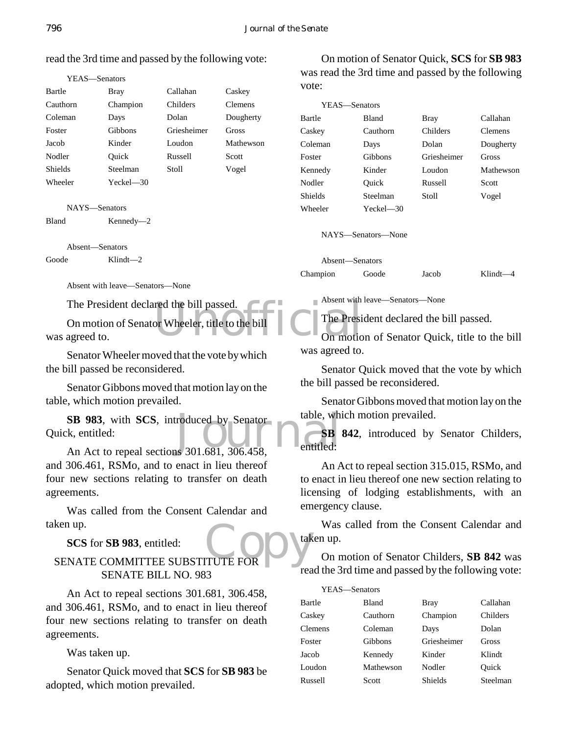#### read the 3rd time and passed by the following vote:

|                | YEAS—Senators |             |           |
|----------------|---------------|-------------|-----------|
| Bartle         | Bray          | Callahan    | Caskey    |
| Cauthorn       | Champion      | Childers    | Clemens   |
| Coleman        | Days          | Dolan       | Dougherty |
| Foster         | Gibbons       | Griesheimer | Gross     |
| Jacob          | Kinder        | Loudon      | Mathewson |
| Nodler         | Ouick         | Russell     | Scott     |
| <b>Shields</b> | Steelman      | Stoll       | Vogel     |
| Wheeler        | Yeckel—30     |             |           |

NAYS—Senators

Bland Kennedy—2

Absent—Senators

Goode Klindt—2

Absent with leave—Senators—None

The President declared the bill passed.

The President Wheeler, title to the bill On motion of Senator Wheeler, title to the bill was agreed to.

Senator Wheeler moved that the vote by which the bill passed be reconsidered.

Senator Gibbons moved that motion lay on the table, which motion prevailed.

**SB 983**, with **SCS**, introduced by Senator table, which which will be a section of the subset of the senator of the senator of the senator of the senator of the senator of the senator of the senator of the senator of the Quick, entitled:

An Act to repeal sections 301.681, 306.458, and 306.461, RSMo, and to enact in lieu thereof four new sections relating to transfer on death agreements.

Was called from the Consent Calendar and taken up.

**SCS** for **SB 983**, entitled:

# Ken up.<br>
SCS for SB 983, entitled:<br>
SENATE COMMITTEE SUBSTITUTE FOR SENATE BILL NO. 983

An Act to repeal sections 301.681, 306.458, and 306.461, RSMo, and to enact in lieu thereof four new sections relating to transfer on death agreements.

Was taken up.

Senator Quick moved that **SCS** for **SB 983** be adopted, which motion prevailed.

On motion of Senator Quick, **SCS** for **SB 983** was read the 3rd time and passed by the following vote:

| YEAS—Senators |              |             |                |
|---------------|--------------|-------------|----------------|
| Bartle        | <b>Bland</b> | Bray        | Callahan       |
| Caskey        | Cauthorn     | Childers    | <b>Clemens</b> |
| Coleman       | Days         | Dolan       | Dougherty      |
| Foster        | Gibbons      | Griesheimer | Gross          |
| Kennedy       | Kinder       | Loudon      | Mathewson      |
| Nodler        | Ouick        | Russell     | Scott          |
| Shields       | Steelman     | Stoll       | Vogel          |
| Wheeler       | Yeckel—30    |             |                |
|               |              |             |                |

NAYS—Senators—None

Absent—Senators

Champion Goode Jacob Klindt—4

Absent with leave—Senators—None

The President declared the bill passed.

On motion of Senator Quick, title to the bill was agreed to.

Senator Quick moved that the vote by which the bill passed be reconsidered.

Senator Gibbons moved that motion lay on the table, which motion prevailed.

**SB 842**, introduced by Senator Childers, entitled:

An Act to repeal section 315.015, RSMo, and to enact in lieu thereof one new section relating to licensing of lodging establishments, with an emergency clause.

Was called from the Consent Calendar and taken up.

On motion of Senator Childers, **SB 842** was read the 3rd time and passed by the following vote:

| YEAS—Senators |              |             |          |
|---------------|--------------|-------------|----------|
| <b>Bartle</b> | <b>Bland</b> | Bray        | Callahan |
| Caskey        | Cauthorn     | Champion    | Childers |
| Clemens       | Coleman      | Days        | Dolan    |
| Foster        | Gibbons      | Griesheimer | Gross    |
| Jacob         | Kennedy      | Kinder      | Klindt   |
| Loudon        | Mathewson    | Nodler      | Ouick    |
| Russell       | Scott        | Shields     | Steelman |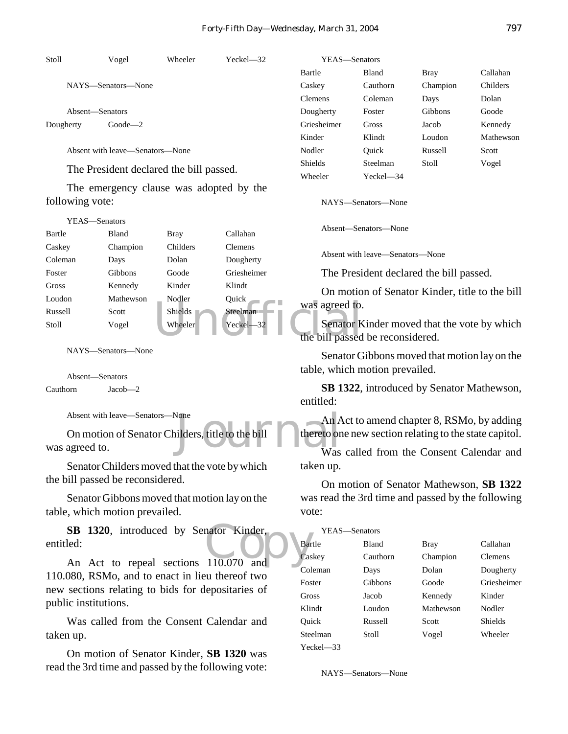| Stoll     | Vogel                           | Wheeler      | $Yechel$ $-32$ | YEAS—Senators  |          |             |           |
|-----------|---------------------------------|--------------|----------------|----------------|----------|-------------|-----------|
|           |                                 |              |                | Bartle         | Bland    | <b>Bray</b> | Callahan  |
|           | NAYS—Senators—None              |              |                | Caskey         | Cauthorn | Champion    | Childers  |
|           |                                 |              |                | Clemens        | Coleman  | Days        | Dolan     |
|           | Absent—Senators                 |              |                | Dougherty      | Foster   | Gibbons     | Goode     |
| Dougherty | $Goode$ <sup>2</sup>            |              |                | Griesheimer    | Gross    | Jacob       | Kennedy   |
|           |                                 |              |                | Kinder         | Klindt   | Loudon      | Mathewson |
|           | Absent with leave—Senators—None |              |                | Nodler         | Ouick    | Russell     | Scott     |
|           | $T1 \tN 11$                     | $1.1$ $1.11$ |                | <b>Shields</b> | Steelman | Stoll       | Vogel     |

The President declared the bill passed.

The emergency clause was adopted by the following vote:

| YEAS—Senators |           |          |                |                 |
|---------------|-----------|----------|----------------|-----------------|
| Bartle        | Bland     | Bray     | Callahan       | Absent—Ser      |
| Caskey        | Champion  | Childers | <b>Clemens</b> |                 |
| Coleman       | Days      | Dolan    | Dougherty      | Absent with     |
| Foster        | Gibbons   | Goode    | Griesheimer    | The Presi       |
| Gross         | Kennedy   | Kinder   | Klindt         | On motio        |
| Loudon        | Mathewson | Nodler   | Ouick          | was agreed to.  |
| Russell       | Scott     | Shields  | Steelman       |                 |
| Stoll         | Vogel     | Wheeler  | Yeckel-32      | Senator K       |
|               |           |          |                | the bill passed |
|               |           |          |                |                 |

NAYS—Senators—None

Absent—Senators Cauthorn Jacob—2

 $\frac{1}{2}$ 

Absent with leave—Senators—None

None<br>
ilders, title to the bill<br>
Was On motion of Senator Childers, title to the bill was agreed to.

Senator Childers moved that the vote by which the bill passed be reconsidered.

Senator Gibbons moved that motion lay on the table, which motion prevailed.

**SB 1320**, introduced by Senator Kinder,<br>
An Act to repeal sections 110.070 and<br>
Cas entitled:

An Act to repeal sections 110.070 and 110.080, RSMo, and to enact in lieu thereof two new sections relating to bids for depositaries of public institutions.

Was called from the Consent Calendar and taken up.

On motion of Senator Kinder, **SB 1320** was read the 3rd time and passed by the following vote:

NAYS—Senators—None

Wheeler Yeckel—34

Absent—Senators—None

Absent with leave—Senators—None

The President declared the bill passed.

On motion of Senator Kinder, title to the bill was agreed to.

Senator Kinder moved that the vote by which the bill passed be reconsidered.

Senator Gibbons moved that motion lay on the table, which motion prevailed.

**SB 1322**, introduced by Senator Mathewson, entitled:

An Act to amend chapter 8, RSMo, by adding thereto one new section relating to the state capitol.

Was called from the Consent Calendar and taken up.

On motion of Senator Mathewson, **SB 1322** was read the 3rd time and passed by the following vote:

| YEAS—Senators |              |           |                |  |
|---------------|--------------|-----------|----------------|--|
| Bartle        | <b>Bland</b> | Bray      | Callahan       |  |
| Caskey        | Cauthorn     | Champion  | <b>Clemens</b> |  |
| Coleman       | Days         | Dolan     | Dougherty      |  |
| Foster        | Gibbons      | Goode     | Griesheimer    |  |
| Gross         | Jacob        | Kennedy   | Kinder         |  |
| Klindt        | Loudon       | Mathewson | Nodler         |  |
| Ouick         | Russell      | Scott     | Shields        |  |
| Steelman      | Stoll        | Vogel     | Wheeler        |  |
| $Yech = 33$   |              |           |                |  |

NAYS—Senators—None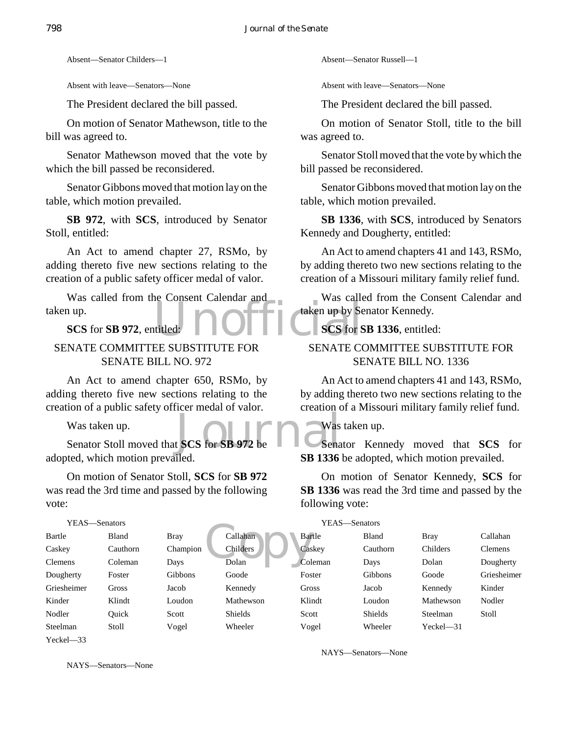Absent—Senator Childers—1

Absent with leave—Senators—None

The President declared the bill passed.

On motion of Senator Mathewson, title to the bill was agreed to.

Senator Mathewson moved that the vote by which the bill passed be reconsidered.

Senator Gibbons moved that motion lay on the table, which motion prevailed.

**SB 972**, with **SCS**, introduced by Senator Stoll, entitled:

An Act to amend chapter 27, RSMo, by adding thereto five new sections relating to the creation of a public safety officer medal of valor.

titled: **NOFFICIAL SCS** for S Was called from the Consent Calendar and taken up.

**SCS** for **SB 972**, entitled:

#### SENATE COMMITTEE SUBSTITUTE FOR SENATE BILL NO. 972

An Act to amend chapter 650, RSMo, by adding thereto five new sections relating to the creation of a public safety officer medal of valor.

Was taken up.

Was taken up.<br>Senator Stoll moved that **SCS** for **SB 972** be adopted, which motion prevailed.

On motion of Senator Stoll, **SCS** for **SB 972** was read the 3rd time and passed by the following vote:

| YEAS—Senators |          |             | YEAS-Senators   |         |                |             |             |
|---------------|----------|-------------|-----------------|---------|----------------|-------------|-------------|
| Bartle        | Bland    | <b>Bray</b> | Callahan        | Bartle  | Bland          | <b>Bray</b> | Callahan    |
| Caskey        | Cauthorn | Champion    | <b>Childers</b> | Caskey  | Cauthorn       | Childers    | Clemens     |
| Clemens       | Coleman  | Days        | Dolan           | Coleman | Days           | Dolan       | Dougherty   |
| Dougherty     | Foster   | Gibbons     | Goode           | Foster  | Gibbons        | Goode       | Griesheimer |
| Griesheimer   | Gross    | Jacob       | Kennedy         | Gross   | Jacob          | Kennedy     | Kinder      |
| Kinder        | Klindt   | Loudon      | Mathewson       | Klindt  | Loudon         | Mathewson   | Nodler      |
| Nodler        | Ouick    | Scott       | <b>Shields</b>  | Scott   | <b>Shields</b> | Steelman    | Stoll       |
| Steelman      | Stoll    | Vogel       | Wheeler         | Vogel   | Wheeler        | Yeckel-31   |             |
| $Yechel = 33$ |          |             |                 |         |                |             |             |

NAYS—Senators—None

NAYS—Senators—None

Absent—Senator Russell—1

Absent with leave—Senators—None

The President declared the bill passed.

On motion of Senator Stoll, title to the bill was agreed to.

Senator Stoll moved that the vote by which the bill passed be reconsidered.

Senator Gibbons moved that motion lay on the table, which motion prevailed.

**SB 1336**, with **SCS**, introduced by Senators Kennedy and Dougherty, entitled:

An Act to amend chapters 41 and 143, RSMo, by adding thereto two new sections relating to the creation of a Missouri military family relief fund.

Was called from the Consent Calendar and taken up by Senator Kennedy.

**SCS** for **SB 1336**, entitled:

#### SENATE COMMITTEE SUBSTITUTE FOR SENATE BILL NO. 1336

An Act to amend chapters 41 and 143, RSMo, by adding thereto two new sections relating to the creation of a Missouri military family relief fund.

#### Was taken up.

Senator Kennedy moved that **SCS** for **SB 1336** be adopted, which motion prevailed.

On motion of Senator Kennedy, **SCS** for **SB 1336** was read the 3rd time and passed by the following vote: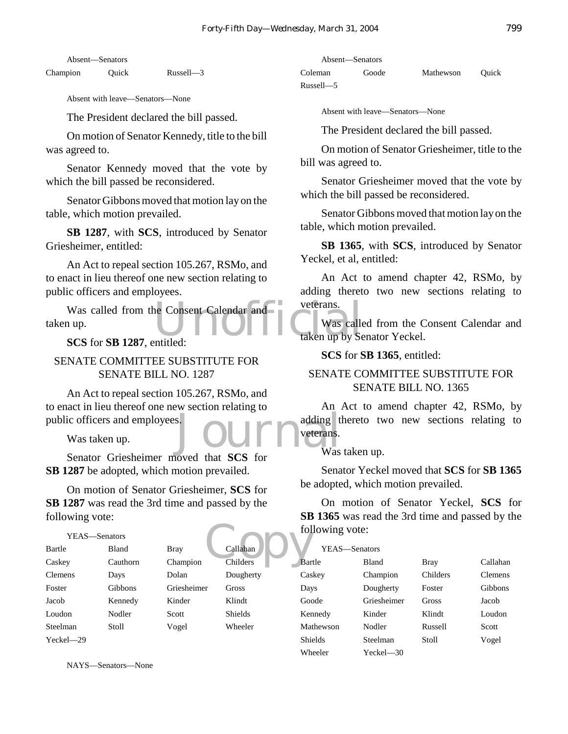Absent—Senators

Champion Quick Russell—3

Absent with leave—Senators—None

The President declared the bill passed.

On motion of Senator Kennedy, title to the bill was agreed to.

Senator Kennedy moved that the vote by which the bill passed be reconsidered.

Senator Gibbons moved that motion lay on the table, which motion prevailed.

**SB 1287**, with **SCS**, introduced by Senator Griesheimer, entitled:

An Act to repeal section 105.267, RSMo, and to enact in lieu thereof one new section relating to public officers and employees.

Was called from the Consent Calendar and<br>
up.<br>
SCS for SB 1287 entitled<br>
Unitated taken up by Se taken up.

**SCS** for **SB 1287**, entitled:

#### SENATE COMMITTEE SUBSTITUTE FOR SENATE BILL NO. 1287

s. JOUPP adding the SCS for Was An Act to repeal section 105.267, RSMo, and to enact in lieu thereof one new section relating to public officers and employees.

Was taken up.

Senator Griesheimer moved that **SCS** for **SB 1287** be adopted, which motion prevailed.

On motion of Senator Griesheimer, **SCS** for **SB 1287** was read the 3rd time and passed by the following vote:

#### YEAS—Senators

|                |               |             |                | fol |
|----------------|---------------|-------------|----------------|-----|
|                | YEAS—Senators |             |                |     |
| Bartle         | Bland         | <b>Bray</b> | Callahan       |     |
| Caskey         | Cauthorn      | Champion    | Childers       | Bar |
| <b>Clemens</b> | Days          | Dolan       | Dougherty      | Cas |
| Foster         | Gibbons       | Griesheimer | Gross          | Day |
| Jacob          | Kennedy       | Kinder      | Klindt         | Goo |
| Loudon         | Nodler        | Scott       | <b>Shields</b> | Ker |
| Steelman       | Stoll         | Vogel       | Wheeler        | Mat |
| Yeckel-29      |               |             |                | Shi |

NAYS—Senators—None

Absent—Senators Coleman Goode Mathewson Quick Russell—5

Absent with leave—Senators—None

The President declared the bill passed.

On motion of Senator Griesheimer, title to the bill was agreed to.

Senator Griesheimer moved that the vote by which the bill passed be reconsidered.

Senator Gibbons moved that motion lay on the table, which motion prevailed.

**SB 1365**, with **SCS**, introduced by Senator Yeckel, et al, entitled:

An Act to amend chapter 42, RSMo, by adding thereto two new sections relating to veterans.

Was called from the Consent Calendar and taken up by Senator Yeckel.

**SCS** for **SB 1365**, entitled:

#### SENATE COMMITTEE SUBSTITUTE FOR SENATE BILL NO. 1365

An Act to amend chapter 42, RSMo, by adding thereto two new sections relating to veterans.

Was taken up.

Senator Yeckel moved that **SCS** for **SB 1365** be adopted, which motion prevailed.

On motion of Senator Yeckel, **SCS** for **SB 1365** was read the 3rd time and passed by the following vote:

| YEAS—Senators  |              |             |                |
|----------------|--------------|-------------|----------------|
| Bartle         | <b>Bland</b> | <b>Bray</b> | Callahan       |
| Caskey         | Champion     | Childers    | <b>Clemens</b> |
| Days           | Dougherty    | Foster      | Gibbons        |
| Goode          | Griesheimer  | Gross       | Jacob          |
| Kennedy        | Kinder       | Klindt      | Loudon         |
| Mathewson      | Nodler       | Russell     | Scott          |
| <b>Shields</b> | Steelman     | Stoll       | Vogel          |
| Wheeler        | Yeckel—30    |             |                |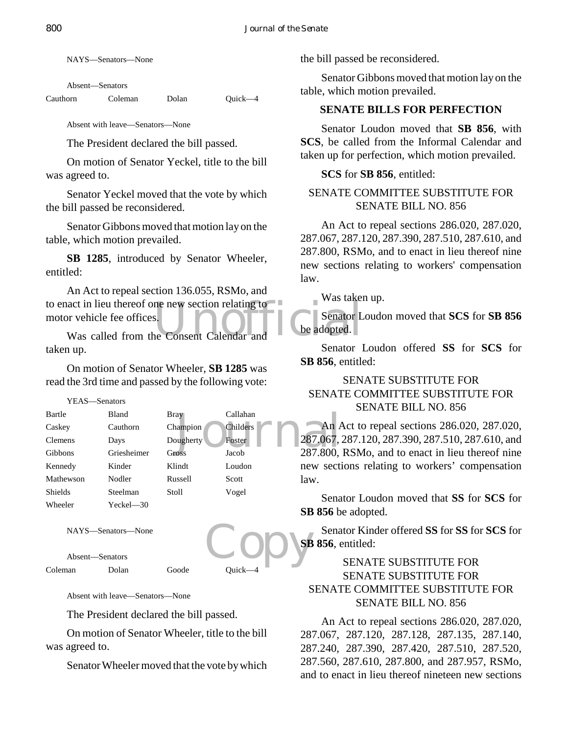NAYS—Senators—None

Absent—Senators

Cauthorn Coleman Dolan Quick—4

Absent with leave—Senators—None

The President declared the bill passed.

On motion of Senator Yeckel, title to the bill was agreed to.

Senator Yeckel moved that the vote by which the bill passed be reconsidered.

Senator Gibbons moved that motion lay on the table, which motion prevailed.

**SB 1285**, introduced by Senator Wheeler, entitled:

Next in lieu thereof one new section relating to the consent of the Senator L<br>Was called from the Consent Calendar and An Act to repeal section 136.055, RSMo, and to enact in lieu thereof one new section relating to motor vehicle fee offices.

taken up.

On motion of Senator Wheeler, **SB 1285** was read the 3rd time and passed by the following vote:

YEAS—Senators

| Bartle         | Bland       | Bray      | Callahan |               |
|----------------|-------------|-----------|----------|---------------|
| Caskey         | Cauthorn    | Champion  | Childers | An /          |
| Clemens        | Days        | Dougherty | Foster   | 287.067,      |
| Gibbons        | Griesheimer | Gross     | Jacob    | 287.800,      |
| Kennedy        | Kinder      | Klindt    | Loudon   | secti<br>new  |
| Mathewson      | Nodler      | Russell   | Scott    | law.          |
| <b>Shields</b> | Steelman    | Stoll     | Vogel    |               |
| Wheeler        | Yeckel—30   |           |          | Sena<br>CDOPI |

NAYS—Senators—None

Absent—Senators

Coleman Dolan Goode Quick—4

Absent with leave—Senators—None

The President declared the bill passed.

On motion of Senator Wheeler, title to the bill was agreed to.

Senator Wheeler moved that the vote by which

the bill passed be reconsidered.

Senator Gibbons moved that motion lay on the table, which motion prevailed.

#### **SENATE BILLS FOR PERFECTION**

Senator Loudon moved that **SB 856**, with **SCS**, be called from the Informal Calendar and taken up for perfection, which motion prevailed.

#### **SCS** for **SB 856**, entitled:

#### SENATE COMMITTEE SUBSTITUTE FOR SENATE BILL NO. 856

An Act to repeal sections 286.020, 287.020, 287.067, 287.120, 287.390, 287.510, 287.610, and 287.800, RSMo, and to enact in lieu thereof nine new sections relating to workers' compensation law.

Was taken up.

Senator Loudon moved that **SCS** for **SB 856** be adopted.

Senator Loudon offered **SS** for **SCS** for **SB 856**, entitled:

#### SENATE SUBSTITUTE FOR SENATE COMMITTEE SUBSTITUTE FOR SENATE BILL NO. 856

An Act to repeal sections 286.020, 287.020, 287.067, 287.120, 287.390, 287.510, 287.610, and 287.800, RSMo, and to enact in lieu thereof nine new sections relating to workers' compensation law.

Senator Loudon moved that **SS** for **SCS** for **SB 856** be adopted.

Copy Senator Kinder offered **SS** for **SS** for **SCS** for **SB 856**, entitled:

#### SENATE SUBSTITUTE FOR SENATE SUBSTITUTE FOR SENATE COMMITTEE SUBSTITUTE FOR SENATE BILL NO. 856

An Act to repeal sections 286.020, 287.020, 287.067, 287.120, 287.128, 287.135, 287.140, 287.240, 287.390, 287.420, 287.510, 287.520, 287.560, 287.610, 287.800, and 287.957, RSMo, and to enact in lieu thereof nineteen new sections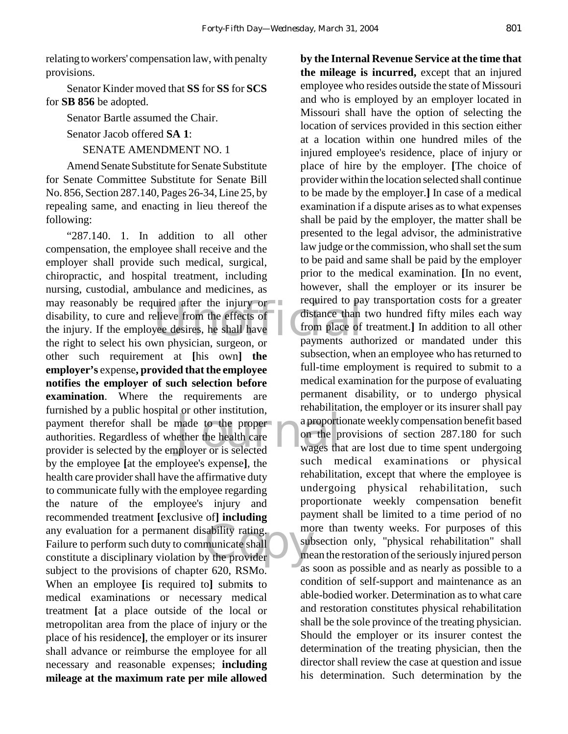relating to workers' compensation law, with penalty provisions.

Senator Kinder moved that **SS** for **SS** for **SCS** for **SB 856** be adopted.

Senator Bartle assumed the Chair.

Senator Jacob offered **SA 1**:

SENATE AMENDMENT NO. 1

Amend Senate Substitute for Senate Substitute for Senate Committee Substitute for Senate Bill No. 856, Section 287.140, Pages 26-34, Line 25, by repealing same, and enacting in lieu thereof the following:

uired after the injury or<br>
elieve from the effects of<br>
yee desires, he shall have<br>
we have than<br>
we have the shall have<br>
payments aut made to the proper<br>
ether the health care<br>
ployer or is selected<br>
wages that Example 11 and the provider to the provider to the provider to the contract of the contract of the contract of the contract of the contract of the contract of the contract of the contract of the contract of the contract of "287.140. 1. In addition to all other compensation, the employee shall receive and the employer shall provide such medical, surgical, chiropractic, and hospital treatment, including nursing, custodial, ambulance and medicines, as may reasonably be required after the injury or disability, to cure and relieve from the effects of the injury. If the employee desires, he shall have the right to select his own physician, surgeon, or other such requirement at **[**his own**] the employer's** expense**, provided that the employee notifies the employer of such selection before examination**. Where the requirements are furnished by a public hospital or other institution, payment therefor shall be made to the proper authorities. Regardless of whether the health care provider is selected by the employer or is selected by the employee **[**at the employee's expense**]**, the health care provider shall have the affirmative duty to communicate fully with the employee regarding the nature of the employee's injury and recommended treatment **[**exclusive of**] including** any evaluation for a permanent disability rating. Failure to perform such duty to communicate shall constitute a disciplinary violation by the provider subject to the provisions of chapter 620, RSMo. When an employee **[**is required to**]** submit**s** to medical examinations or necessary medical treatment **[**at a place outside of the local or metropolitan area from the place of injury or the place of his residence**]**, the employer or its insurer shall advance or reimburse the employee for all necessary and reasonable expenses; **including mileage at the maximum rate per mile allowed**

**by the Internal Revenue Service at the time that the mileage is incurred,** except that an injured employee who resides outside the state of Missouri and who is employed by an employer located in Missouri shall have the option of selecting the location of services provided in this section either at a location within one hundred miles of the injured employee's residence, place of injury or place of hire by the employer. **[**The choice of provider within the location selected shall continue to be made by the employer.**]** In case of a medical examination if a dispute arises as to what expenses shall be paid by the employer, the matter shall be presented to the legal advisor, the administrative law judge or the commission, who shall set the sum to be paid and same shall be paid by the employer prior to the medical examination. **[**In no event, however, shall the employer or its insurer be required to pay transportation costs for a greater distance than two hundred fifty miles each way from place of treatment.**]** In addition to all other payments authorized or mandated under this subsection, when an employee who has returned to full-time employment is required to submit to a medical examination for the purpose of evaluating permanent disability, or to undergo physical rehabilitation, the employer or its insurer shall pay a proportionate weekly compensation benefit based on the provisions of section 287.180 for such wages that are lost due to time spent undergoing such medical examinations or physical rehabilitation, except that where the employee is undergoing physical rehabilitation, such proportionate weekly compensation benefit payment shall be limited to a time period of no more than twenty weeks. For purposes of this subsection only, "physical rehabilitation" shall mean the restoration of the seriously injured person as soon as possible and as nearly as possible to a condition of self-support and maintenance as an able-bodied worker. Determination as to what care and restoration constitutes physical rehabilitation shall be the sole province of the treating physician. Should the employer or its insurer contest the determination of the treating physician, then the director shall review the case at question and issue his determination. Such determination by the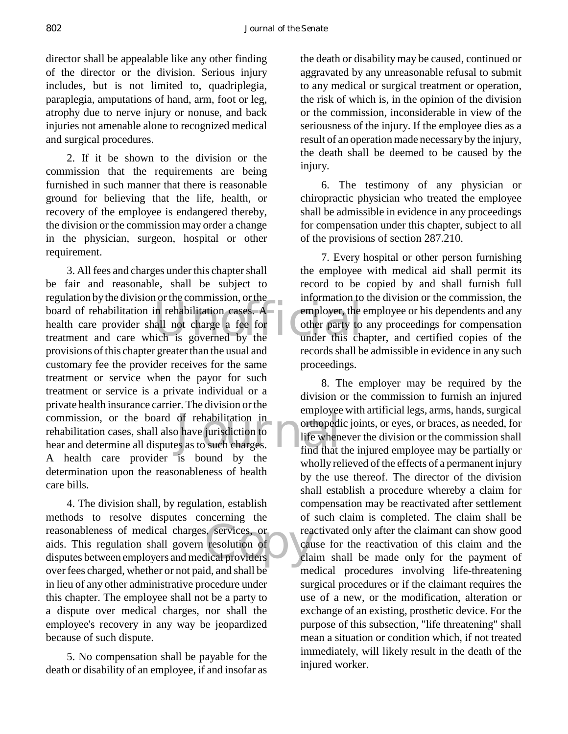director shall be appealable like any other finding of the director or the division. Serious injury includes, but is not limited to, quadriplegia, paraplegia, amputations of hand, arm, foot or leg, atrophy due to nerve injury or nonuse, and back injuries not amenable alone to recognized medical and surgical procedures.

2. If it be shown to the division or the commission that the requirements are being furnished in such manner that there is reasonable ground for believing that the life, health, or recovery of the employee is endangered thereby, the division or the commission may order a change in the physician, surgeon, hospital or other requirement.

Equation by the division of the commission, of the mormanon to<br>
board of rehabilitation in rehabilitation cases. A employer, the<br>
health care provider shall not charge a fee for<br>
treatment and care which is governed by the of rehabilitation in<br>
b have jurisdiction to<br>
es as to such charges.<br>  $\begin{array}{c}\n\text{orthopedi}\n\end{array}$ <br>  $\begin{array}{c}\n\text{orthopedi}\n\end{array}$ 3. All fees and charges under this chapter shall be fair and reasonable, shall be subject to regulation by the division or the commission, or the board of rehabilitation in rehabilitation cases. A health care provider shall not charge a fee for provisions of this chapter greater than the usual and customary fee the provider receives for the same treatment or service when the payor for such treatment or service is a private individual or a private health insurance carrier. The division or the commission, or the board of rehabilitation in rehabilitation cases, shall also have jurisdiction to hear and determine all disputes as to such charges. A health care provider is bound by the determination upon the reasonableness of health care bills.

Exercices, or real resolution of calculation calculation calculation calculation calculation calculation calculation calculation calculation calculation calculation calculation calculation calculation calculation calculati 4. The division shall, by regulation, establish methods to resolve disputes concerning the reasonableness of medical charges, services, or aids. This regulation shall govern resolution of disputes between employers and medical providers over fees charged, whether or not paid, and shall be in lieu of any other administrative procedure under this chapter. The employee shall not be a party to a dispute over medical charges, nor shall the employee's recovery in any way be jeopardized because of such dispute.

5. No compensation shall be payable for the death or disability of an employee, if and insofar as

the death or disability may be caused, continued or aggravated by any unreasonable refusal to submit to any medical or surgical treatment or operation, the risk of which is, in the opinion of the division or the commission, inconsiderable in view of the seriousness of the injury. If the employee dies as a result of an operation made necessary by the injury, the death shall be deemed to be caused by the injury.

6. The testimony of any physician or chiropractic physician who treated the employee shall be admissible in evidence in any proceedings for compensation under this chapter, subject to all of the provisions of section 287.210.

7. Every hospital or other person furnishing the employee with medical aid shall permit its record to be copied by and shall furnish full information to the division or the commission, the employer, the employee or his dependents and any other party to any proceedings for compensation under this chapter, and certified copies of the records shall be admissible in evidence in any such proceedings.

8. The employer may be required by the division or the commission to furnish an injured employee with artificial legs, arms, hands, surgical orthopedic joints, or eyes, or braces, as needed, for life whenever the division or the commission shall find that the injured employee may be partially or wholly relieved of the effects of a permanent injury by the use thereof. The director of the division shall establish a procedure whereby a claim for compensation may be reactivated after settlement of such claim is completed. The claim shall be reactivated only after the claimant can show good cause for the reactivation of this claim and the claim shall be made only for the payment of medical procedures involving life-threatening surgical procedures or if the claimant requires the use of a new, or the modification, alteration or exchange of an existing, prosthetic device. For the purpose of this subsection, "life threatening" shall mean a situation or condition which, if not treated immediately, will likely result in the death of the injured worker.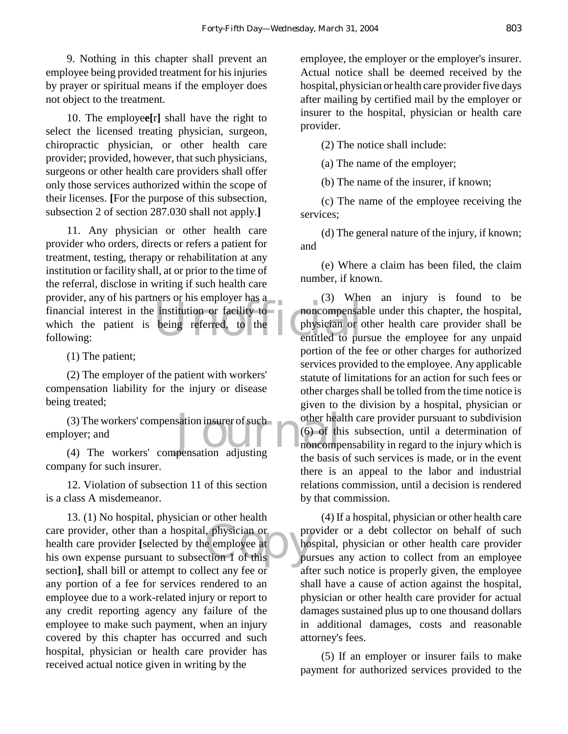9. Nothing in this chapter shall prevent an employee being provided treatment for his injuries by prayer or spiritual means if the employer does not object to the treatment.

10. The employe**e[**r**]** shall have the right to select the licensed treating physician, surgeon, chiropractic physician, or other health care provider; provided, however, that such physicians, surgeons or other health care providers shall offer only those services authorized within the scope of their licenses. **[**For the purpose of this subsection, subsection 2 of section 287.030 shall not apply.**]**

Frovider, any of his partners of his employer has a<br>financial interest in the institution or facility to<br>which the patient is being referred, to the physician or dollowing: 11. Any physician or other health care provider who orders, directs or refers a patient for treatment, testing, therapy or rehabilitation at any institution or facility shall, at or prior to the time of the referral, disclose in writing if such health care provider, any of his partners or his employer has a which the patient is being referred, to the following:

(1) The patient;

(2) The employer of the patient with workers' compensation liability for the injury or disease being treated;

(3) The workers' compensation insurer of such other heads<br>
(6) of the moncompensation adjusting<br>
(4) The workers' compensation adjusting<br>
the basis (3) The workers' compensation insurer of such employer; and

company for such insurer.

12. Violation of subsection 11 of this section is a class A misdemeanor.

care provider, other than a hospital, physician or<br>
health care provider [selected by the employee at<br>
his own expense pursuant to subsection 1 of this<br>
pur 13. (1) No hospital, physician or other health health care provider **[**selected by the employee at his own expense pursuant to subsection 1 of this section**]**, shall bill or attempt to collect any fee or any portion of a fee for services rendered to an employee due to a work-related injury or report to any credit reporting agency any failure of the employee to make such payment, when an injury covered by this chapter has occurred and such hospital, physician or health care provider has received actual notice given in writing by the

employee, the employer or the employer's insurer. Actual notice shall be deemed received by the hospital, physician or health care provider five days after mailing by certified mail by the employer or insurer to the hospital, physician or health care provider.

(2) The notice shall include:

(a) The name of the employer;

(b) The name of the insurer, if known;

(c) The name of the employee receiving the services;

(d) The general nature of the injury, if known; and

(e) Where a claim has been filed, the claim number, if known.

(3) When an injury is found to be noncompensable under this chapter, the hospital, physician or other health care provider shall be entitled to pursue the employee for any unpaid portion of the fee or other charges for authorized services provided to the employee. Any applicable statute of limitations for an action for such fees or other charges shall be tolled from the time notice is given to the division by a hospital, physician or other health care provider pursuant to subdivision (6) of this subsection, until a determination of noncompensability in regard to the injury which is the basis of such services is made, or in the event there is an appeal to the labor and industrial relations commission, until a decision is rendered by that commission.

(4) If a hospital, physician or other health care provider or a debt collector on behalf of such hospital, physician or other health care provider pursues any action to collect from an employee after such notice is properly given, the employee shall have a cause of action against the hospital, physician or other health care provider for actual damages sustained plus up to one thousand dollars in additional damages, costs and reasonable attorney's fees.

(5) If an employer or insurer fails to make payment for authorized services provided to the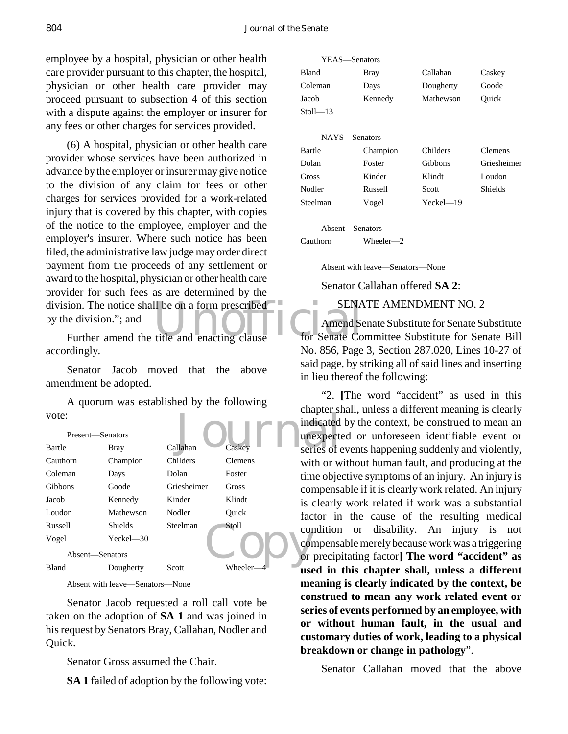employee by a hospital, physician or other health care provider pursuant to this chapter, the hospital, physician or other health care provider may proceed pursuant to subsection 4 of this section with a dispute against the employer or insurer for any fees or other charges for services provided.

division. The notice shall be on a form prescribed<br>by the division."; and<br>Further amend the title and enacting clause<br>for Senate Co (6) A hospital, physician or other health care provider whose services have been authorized in advance by the employer or insurer may give notice to the division of any claim for fees or other charges for services provided for a work-related injury that is covered by this chapter, with copies of the notice to the employee, employer and the employer's insurer. Where such notice has been filed, the administrative law judge may order direct payment from the proceeds of any settlement or award to the hospital, physician or other health care provider for such fees as are determined by the by the division."; and

Further amend the title and enacting clause accordingly.

Senator Jacob moved that the above amendment be adopted.

A quorum was established by the following vote:

| vote:            |                |             |                | $C_{\rm H}\alpha_{\rm D}\alpha_{\rm L}$ or |
|------------------|----------------|-------------|----------------|--------------------------------------------|
|                  |                |             |                | indicated                                  |
| Present-Senators |                |             |                | unexpect                                   |
| Bartle           | <b>Bray</b>    | Callahan    | Caskey         | series of e                                |
| Cauthorn         | Champion       | Childers    | <b>Clemens</b> | with or w                                  |
| Coleman          | Days           | Dolan       | Foster         | time obje                                  |
| Gibbons          | Goode          | Griesheimer | Gross          | compensa                                   |
| Jacob            | Kennedy        | Kinder      | Klindt         | is clearly                                 |
| Loudon           | Mathewson      | Nodler      | Ouick          | factor in                                  |
| Russell          | <b>Shields</b> | Steelman    | Stoll          | condition                                  |
| Vogel            | $Yeckel - 30$  |             |                | compensa                                   |
| Absent-Senators  |                |             |                | or precip                                  |
| <b>Bland</b>     | Dougherty      | Scott       | Wheeler-       | used in                                    |

Absent with leave—Senators—None

Senator Jacob requested a roll call vote be taken on the adoption of **SA 1** and was joined in his request by Senators Bray, Callahan, Nodler and Quick.

Senator Gross assumed the Chair.

**SA 1** failed of adoption by the following vote:

| <b>Bland</b>  | <b>Bray</b> | Callahan      | Caskey      |
|---------------|-------------|---------------|-------------|
| Coleman       | Days        | Dougherty     | Goode       |
| Jacob         | Kennedy     | Mathewson     | Ouick       |
| $Stoll - 13$  |             |               |             |
|               |             |               |             |
| NAYS—Senators |             |               |             |
| Bartle        | Champion    | Childers      | Clemens     |
| Dolan         | Foster      | Gibbons       | Griesheimer |
| Gross         | Kinder      | Klindt        | Loudon      |
| Nodler        | Russell     | Scott         | Shields     |
| Steelman      | Vogel       | $Yeckel - 19$ |             |
|               |             |               |             |

Absent—Senators

YEAS—Senators

Cauthorn Wheeler—2

Absent with leave—Senators—None

#### Senator Callahan offered **SA 2**:

#### SENATE AMENDMENT NO. 2

Amend Senate Substitute for Senate Substitute for Senate Committee Substitute for Senate Bill No. 856, Page 3, Section 287.020, Lines 10-27 of said page, by striking all of said lines and inserting in lieu thereof the following:

"2. **[**The word "accident" as used in this chapter shall, unless a different meaning is clearly indicated by the context, be construed to mean an unexpected or unforeseen identifiable event or series of events happening suddenly and violently, with or without human fault, and producing at the time objective symptoms of an injury. An injury is compensable if it is clearly work related. An injury is clearly work related if work was a substantial factor in the cause of the resulting medical condition or disability. An injury is not compensable merely because work was a triggering or precipitating factor**] The word "accident" as used in this chapter shall, unless a different meaning is clearly indicated by the context, be construed to mean any work related event or series of events performed by an employee, with or without human fault, in the usual and customary duties of work, leading to a physical breakdown or change in pathology**".

Senator Callahan moved that the above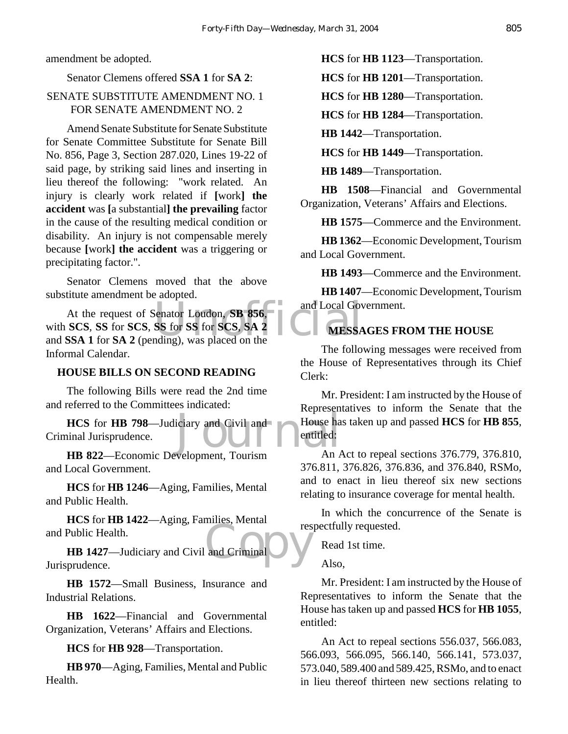amendment be adopted.

#### Senator Clemens offered **SSA 1** for **SA 2**:

#### SENATE SUBSTITUTE AMENDMENT NO. 1 FOR SENATE AMENDMENT NO. 2

Amend Senate Substitute for Senate Substitute for Senate Committee Substitute for Senate Bill No. 856, Page 3, Section 287.020, Lines 19-22 of said page, by striking said lines and inserting in lieu thereof the following: "work related. An injury is clearly work related if **[**work**] the accident** was **[**a substantial**] the prevailing** factor in the cause of the resulting medical condition or disability. An injury is not compensable merely because **[**work**] the accident** was a triggering or precipitating factor.".

Senator Clemens moved that the above substitute amendment be adopted.

Senator Loudon, SB 856, and Local Government Could be a SS for SCS, SA 2 At the request of Senator Loudon, **SB 856**, with **SCS**, **SS** for **SCS**, **SS** for **SS** for **SCS**, **SA 2** and **SSA 1** for **SA 2** (pending), was placed on the Informal Calendar.

#### **HOUSE BILLS ON SECOND READING**

The following Bills were read the 2nd time and referred to the Committees indicated:

iciary and Civil and<br>House has entitled:<br>Welonment Tourism An **HCS** for **HB 798**—Judiciary and Civil and Criminal Jurisprudence.

**HB 822**—Economic Development, Tourism and Local Government.

**HCS** for **HB 1246**—Aging, Families, Mental and Public Health.

**HCS** for **HB 1422**—Aging, Families, Mental and Public Health.

and Criminal D **HB 1427**—Judiciary and Civil and Criminal Jurisprudence.

**HB 1572**—Small Business, Insurance and Industrial Relations.

**HB 1622**—Financial and Governmental Organization, Veterans' Affairs and Elections.

**HCS** for **HB 928**—Transportation.

**HB 970**—Aging, Families, Mental and Public Health.

**HCS** for **HB 1123**—Transportation.

**HCS** for **HB 1201**—Transportation.

**HCS** for **HB 1280**—Transportation.

**HCS** for **HB 1284**—Transportation.

**HB 1442**—Transportation.

**HCS** for **HB 1449**—Transportation.

**HB 1489**—Transportation.

**HB 1508**—Financial and Governmental Organization, Veterans' Affairs and Elections.

**HB 1575**—Commerce and the Environment.

**HB 1362**—Economic Development, Tourism and Local Government.

**HB 1493**—Commerce and the Environment.

**HB 1407**—Economic Development, Tourism and Local Government.

#### **MESSAGES FROM THE HOUSE**

The following messages were received from the House of Representatives through its Chief Clerk:

Mr. President: I am instructed by the House of Representatives to inform the Senate that the House has taken up and passed **HCS** for **HB 855**, entitled:

An Act to repeal sections 376.779, 376.810, 376.811, 376.826, 376.836, and 376.840, RSMo, and to enact in lieu thereof six new sections relating to insurance coverage for mental health.

In which the concurrence of the Senate is respectfully requested.

Read 1st time.

Also,

Mr. President: I am instructed by the House of Representatives to inform the Senate that the House has taken up and passed **HCS** for **HB 1055**, entitled:

An Act to repeal sections 556.037, 566.083, 566.093, 566.095, 566.140, 566.141, 573.037, 573.040, 589.400 and 589.425, RSMo, and to enact in lieu thereof thirteen new sections relating to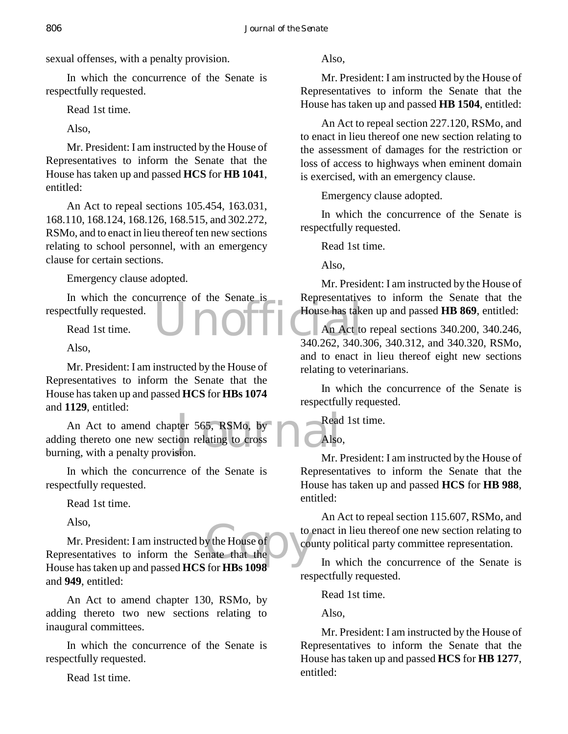sexual offenses, with a penalty provision.

In which the concurrence of the Senate is respectfully requested.

Read 1st time.

Also,

Mr. President: I am instructed by the House of Representatives to inform the Senate that the House has taken up and passed **HCS** for **HB 1041**, entitled:

An Act to repeal sections 105.454, 163.031, 168.110, 168.124, 168.126, 168.515, and 302.272, RSMo, and to enact in lieu thereof ten new sections relating to school personnel, with an emergency clause for certain sections.

Emergency clause adopted.

House has take In which the concurrence of the Senate is respectfully requested.

Read 1st time.

Also,

Mr. President: I am instructed by the House of Representatives to inform the Senate that the House has taken up and passed **HCS** for **HBs 1074** and **1129**, entitled:

Mexicon Formal State of the Read ion relating to cross An Act to amend chapter 565, RSMo, by adding thereto one new section relating to cross burning, with a penalty provision.

In which the concurrence of the Senate is respectfully requested.

Read 1st time.

Also,

y the House of to the House of the Country of the Country of the Country of the Country of the Country of the Country of the Country of the Country of the Country of the Country of the Country of the Country of the Country Mr. President: I am instructed by the House of Representatives to inform the Senate that the House has taken up and passed **HCS** for **HBs 1098** and **949**, entitled:

An Act to amend chapter 130, RSMo, by adding thereto two new sections relating to inaugural committees.

In which the concurrence of the Senate is respectfully requested.

Read 1st time.

Also,

Mr. President: I am instructed by the House of Representatives to inform the Senate that the House has taken up and passed **HB 1504**, entitled:

An Act to repeal section 227.120, RSMo, and to enact in lieu thereof one new section relating to the assessment of damages for the restriction or loss of access to highways when eminent domain is exercised, with an emergency clause.

Emergency clause adopted.

In which the concurrence of the Senate is respectfully requested.

Read 1st time.

Also,

Mr. President: I am instructed by the House of Representatives to inform the Senate that the House has taken up and passed **HB 869**, entitled:

An Act to repeal sections 340.200, 340.246, 340.262, 340.306, 340.312, and 340.320, RSMo, and to enact in lieu thereof eight new sections relating to veterinarians.

In which the concurrence of the Senate is respectfully requested.

Read 1st time.

Also,

Mr. President: I am instructed by the House of Representatives to inform the Senate that the House has taken up and passed **HCS** for **HB 988**, entitled:

An Act to repeal section 115.607, RSMo, and to enact in lieu thereof one new section relating to county political party committee representation.

In which the concurrence of the Senate is respectfully requested.

Read 1st time.

Also,

Mr. President: I am instructed by the House of Representatives to inform the Senate that the House has taken up and passed **HCS** for **HB 1277**, entitled: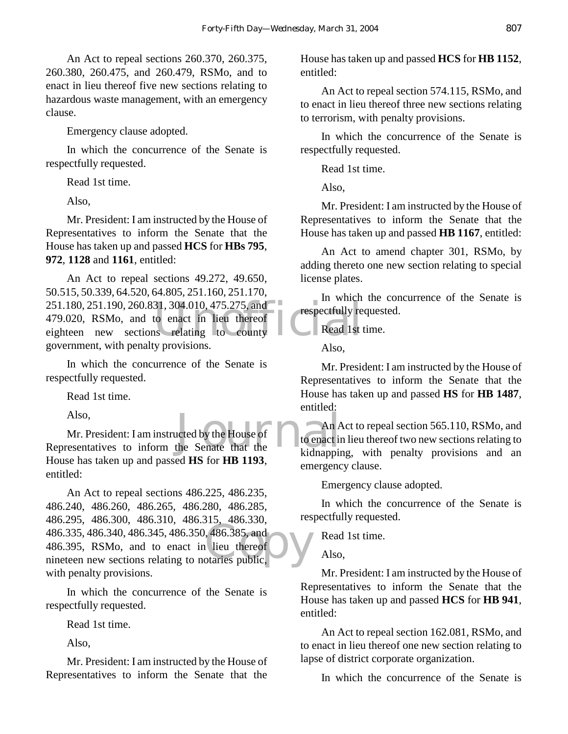An Act to repeal sections 260.370, 260.375, 260.380, 260.475, and 260.479, RSMo, and to enact in lieu thereof five new sections relating to hazardous waste management, with an emergency clause.

Emergency clause adopted.

In which the concurrence of the Senate is respectfully requested.

Read 1st time.

Also,

Mr. President: I am instructed by the House of Representatives to inform the Senate that the House has taken up and passed **HCS** for **HBs 795**, **972**, **1128** and **1161**, entitled:

251.180, 251.190, 260.831, 304.010, 475.275, and<br>479.020, RSMo, and to enact in lieu thereof<br>eighteen new sections relating to county An Act to repeal sections 49.272, 49.650, 50.515, 50.339, 64.520, 64.805, 251.160, 251.170, 479.020, RSMo, and to enact in lieu thereof eighteen new sections relating to county government, with penalty provisions.

In which the concurrence of the Senate is respectfully requested.

Read 1st time.

Also,

and the senate that the senate that the senate that the senate that the senate is the senate of the senate in the senate of  $\Omega$  is the senate that the senate is the senate in the senate of  $\Omega$  is the senate of  $\Omega$  is th Mr. President: I am instructed by the House of Representatives to inform the Senate that the House has taken up and passed **HS** for **HB 1193**, entitled:

186.255, 186.366, 186.316, 186.315, 186.335, 186.335, 486.340, 486.345, 486.350, 486.385, and 486.395, RSMo, and to enact in lieu thereof nineteen new sections relating to notaries public, An Act to repeal sections 486.225, 486.235, 486.240, 486.260, 486.265, 486.280, 486.285, 486.295, 486.300, 486.310, 486.315, 486.330, 486.395, RSMo, and to enact in lieu thereof nineteen new sections relating to notaries public, with penalty provisions.

In which the concurrence of the Senate is respectfully requested.

Read 1st time.

Also,

Mr. President: I am instructed by the House of Representatives to inform the Senate that the

House has taken up and passed **HCS** for **HB 1152**, entitled:

An Act to repeal section 574.115, RSMo, and to enact in lieu thereof three new sections relating to terrorism, with penalty provisions.

In which the concurrence of the Senate is respectfully requested.

Read 1st time.

Also,

Mr. President: I am instructed by the House of Representatives to inform the Senate that the House has taken up and passed **HB 1167**, entitled:

An Act to amend chapter 301, RSMo, by adding thereto one new section relating to special license plates.

In which the concurrence of the Senate is respectfully requested.

Read 1st time.

Also,

Mr. President: I am instructed by the House of Representatives to inform the Senate that the House has taken up and passed **HS** for **HB 1487**, entitled:

An Act to repeal section 565.110, RSMo, and to enact in lieu thereof two new sections relating to kidnapping, with penalty provisions and an emergency clause.

Emergency clause adopted.

In which the concurrence of the Senate is respectfully requested.

Read 1st time.

Also,

Mr. President: I am instructed by the House of Representatives to inform the Senate that the House has taken up and passed **HCS** for **HB 941**, entitled:

An Act to repeal section 162.081, RSMo, and to enact in lieu thereof one new section relating to lapse of district corporate organization.

In which the concurrence of the Senate is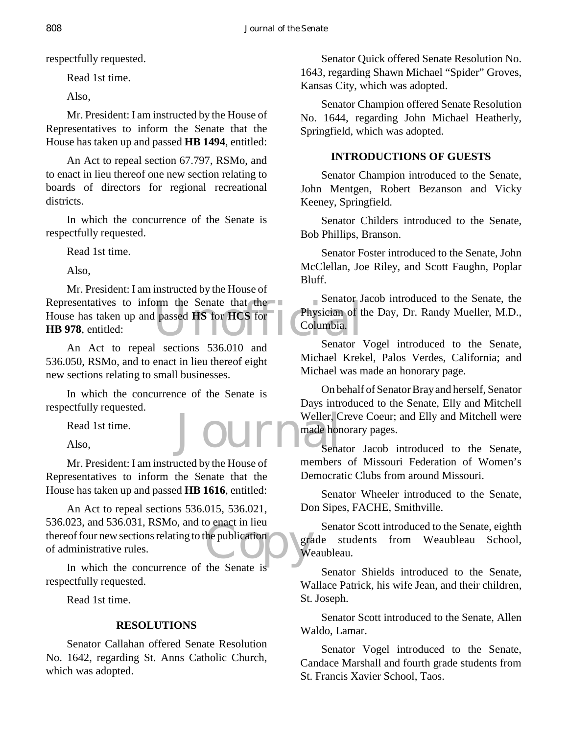respectfully requested.

Read 1st time.

Also,

Mr. President: I am instructed by the House of Representatives to inform the Senate that the House has taken up and passed **HB 1494**, entitled:

An Act to repeal section 67.797, RSMo, and to enact in lieu thereof one new section relating to boards of directors for regional recreational districts.

In which the concurrence of the Senate is respectfully requested.

Read 1st time.

Also,

Density of the Senator Senator Senator Senator Senator Senator Senator Senator Senator Mr. President: I am instructed by the House of Representatives to inform the Senate that the House has taken up and passed **HS** for **HCS** for **HB 978**, entitled:

An Act to repeal sections 536.010 and 536.050, RSMo, and to enact in lieu thereof eight new sections relating to small businesses.

In which the concurrence of the Senate is respectfully requested.

Journal

Read 1st time.

Also,

Mr. President: I am instructed by the House of Representatives to inform the Senate that the House has taken up and passed **HB 1616**, entitled:

be publication<br>the Senate is An Act to repeal sections 536.015, 536.021, 536.023, and 536.031, RSMo, and to enact in lieu thereof four new sections relating to the publication of administrative rules.

In which the concurrence of the Senate is respectfully requested.

Read 1st time.

### **RESOLUTIONS**

Senator Callahan offered Senate Resolution No. 1642, regarding St. Anns Catholic Church, which was adopted.

Senator Quick offered Senate Resolution No. 1643, regarding Shawn Michael "Spider" Groves, Kansas City, which was adopted.

Senator Champion offered Senate Resolution No. 1644, regarding John Michael Heatherly, Springfield, which was adopted.

#### **INTRODUCTIONS OF GUESTS**

Senator Champion introduced to the Senate, John Mentgen, Robert Bezanson and Vicky Keeney, Springfield.

Senator Childers introduced to the Senate, Bob Phillips, Branson.

Senator Foster introduced to the Senate, John McClellan, Joe Riley, and Scott Faughn, Poplar Bluff.

Senator Jacob introduced to the Senate, the Physician of the Day, Dr. Randy Mueller, M.D., Columbia.

Senator Vogel introduced to the Senate, Michael Krekel, Palos Verdes, California; and Michael was made an honorary page.

On behalf of Senator Bray and herself, Senator Days introduced to the Senate, Elly and Mitchell Weller, Creve Coeur; and Elly and Mitchell were made honorary pages.

Senator Jacob introduced to the Senate, members of Missouri Federation of Women's Democratic Clubs from around Missouri.

Senator Wheeler introduced to the Senate, Don Sipes, FACHE, Smithville.

Senator Scott introduced to the Senate, eighth grade students from Weaubleau School, Weaubleau.

Senator Shields introduced to the Senate, Wallace Patrick, his wife Jean, and their children, St. Joseph.

Senator Scott introduced to the Senate, Allen Waldo, Lamar.

Senator Vogel introduced to the Senate, Candace Marshall and fourth grade students from St. Francis Xavier School, Taos.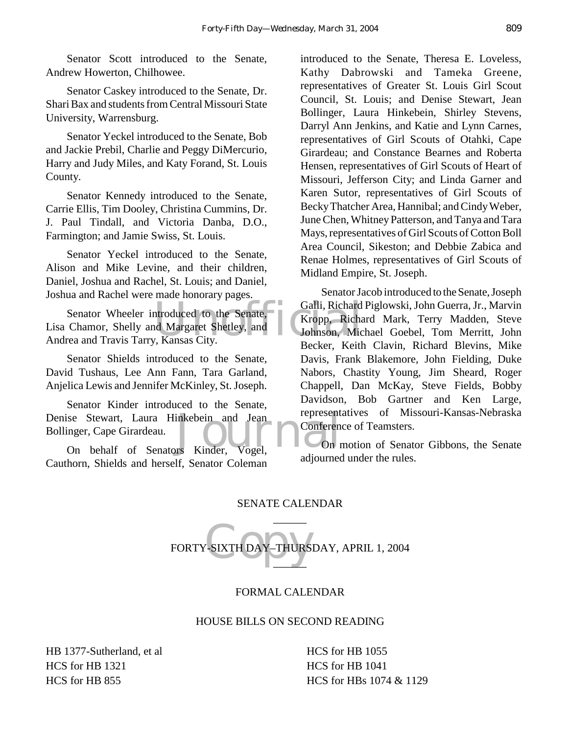Senator Scott introduced to the Senate, Andrew Howerton, Chilhowee.

Senator Caskey introduced to the Senate, Dr. Shari Bax and students from Central Missouri State University, Warrensburg.

Senator Yeckel introduced to the Senate, Bob and Jackie Prebil, Charlie and Peggy DiMercurio, Harry and Judy Miles, and Katy Forand, St. Louis County.

Senator Kennedy introduced to the Senate, Carrie Ellis, Tim Dooley, Christina Cummins, Dr. J. Paul Tindall, and Victoria Danba, D.O., Farmington; and Jamie Swiss, St. Louis.

Senator Yeckel introduced to the Senate, Alison and Mike Levine, and their children, Daniel, Joshua and Rachel, St. Louis; and Daniel, Joshua and Rachel were made honorary pages.

ntroduced to the Senate, Galli, Richard<br>
Ind Margaret Shetley, and Johnson, Mic<br>
V, Kansas City. Senator Wheeler introduced to the Senate, Lisa Chamor, Shelly and Margaret Shetley, and Andrea and Travis Tarry, Kansas City.

Senator Shields introduced to the Senate, David Tushaus, Lee Ann Fann, Tara Garland, Anjelica Lewis and Jennifer McKinley, St. Joseph.

Denise Stewart, Laura Hinkebein and Jean<br>
Bollinger, Cape Girardeau.<br>
On behalf of Senators Kinder, Vogel, Senator Kinder introduced to the Senate, Bollinger, Cape Girardeau.

On behalf of Senators Kinder, Vogel, Cauthorn, Shields and herself, Senator Coleman

introduced to the Senate, Theresa E. Loveless, Kathy Dabrowski and Tameka Greene, representatives of Greater St. Louis Girl Scout Council, St. Louis; and Denise Stewart, Jean Bollinger, Laura Hinkebein, Shirley Stevens, Darryl Ann Jenkins, and Katie and Lynn Carnes, representatives of Girl Scouts of Otahki, Cape Girardeau; and Constance Bearnes and Roberta Hensen, representatives of Girl Scouts of Heart of Missouri, Jefferson City; and Linda Garner and Karen Sutor, representatives of Girl Scouts of Becky Thatcher Area, Hannibal; and Cindy Weber, June Chen, Whitney Patterson, and Tanya and Tara Mays, representatives of Girl Scouts of Cotton Boll Area Council, Sikeston; and Debbie Zabica and Renae Holmes, representatives of Girl Scouts of Midland Empire, St. Joseph.

Senator Jacob introduced to the Senate, Joseph Galli, Richard Piglowski, John Guerra, Jr., Marvin Kropp, Richard Mark, Terry Madden, Steve Johnson, Michael Goebel, Tom Merritt, John Becker, Keith Clavin, Richard Blevins, Mike Davis, Frank Blakemore, John Fielding, Duke Nabors, Chastity Young, Jim Sheard, Roger Chappell, Dan McKay, Steve Fields, Bobby Davidson, Bob Gartner and Ken Large, representatives of Missouri-Kansas-Nebraska Conference of Teamsters.

On motion of Senator Gibbons, the Senate adjourned under the rules.

#### SENATE CALENDAR  $\overline{\phantom{a}}$

SIXTH DAY-THURS FORTY-SIXTH DAY–THURSDAY, APRIL 1, 2004  $\overline{\phantom{a}}$ 

#### FORMAL CALENDAR

#### HOUSE BILLS ON SECOND READING

HB 1377-Sutherland, et al HCS for HB 1321 HCS for HB 855

HCS for HB 1055 HCS for HB 1041 HCS for HBs 1074 & 1129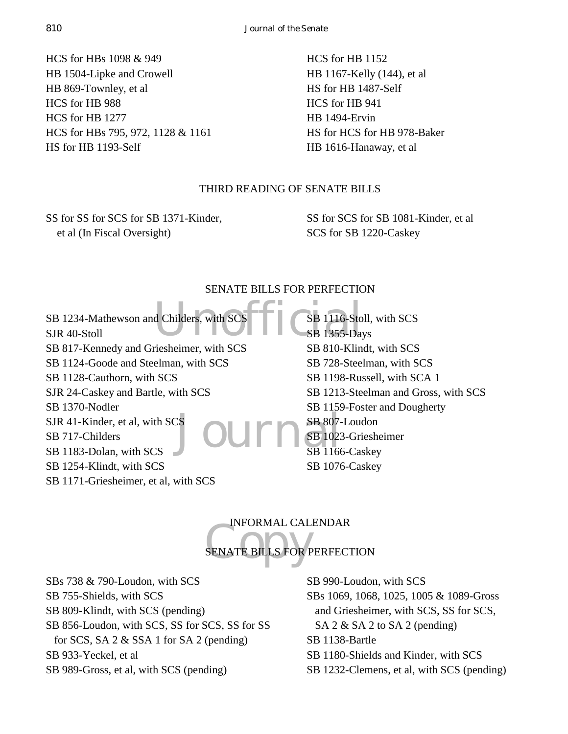HCS for HBs 1098 & 949 HB 1504-Lipke and Crowell HB 869-Townley, et al HCS for HB 988 HCS for HB 1277 HCS for HBs 795, 972, 1128 & 1161 HS for HB 1193-Self

HCS for HB 1152 HB 1167-Kelly (144), et al HS for HB 1487-Self HCS for HB 941 HB 1494-Ervin HS for HCS for HB 978-Baker HB 1616-Hanaway, et al

#### THIRD READING OF SENATE BILLS

SS for SS for SCS for SB 1371-Kinder, et al (In Fiscal Oversight)

SS for SCS for SB 1081-Kinder, et al SCS for SB 1220-Caskey

#### SENATE BILLS FOR PERFECTION

d Childers, with SCS Expansion CSB 1116-Sto  $\mathrm{S}^{\mathrm{S}}$ Journ $\mathrm{S}^{\mathrm{B}}$  807-SB 1234-Mathewson and Childers, with SCS SJR 40-Stoll SB 817-Kennedy and Griesheimer, with SCS SB 1124-Goode and Steelman, with SCS SB 1128-Cauthorn, with SCS SJR 24-Caskey and Bartle, with SCS SB 1370-Nodler SJR 41-Kinder, et al, with SCS SB 717-Childers SB 1183-Dolan, with SCS SB 1254-Klindt, with SCS SB 1171-Griesheimer, et al, with SCS SB 1116-Stoll, with SCS SB 1355-Days SB 810-Klindt, with SCS SB 728-Steelman, with SCS SB 1198-Russell, with SCA 1 SB 1213-Steelman and Gross, with SCS SB 1159-Foster and Dougherty SB 807-Loudon SB 1023-Griesheimer SB 1166-Caskey SB 1076-Caskey

INFORMAL CALENDAR

### INFORMAL CAL SENATE BILLS FOR PERFECTION

SBs 738 & 790-Loudon, with SCS SB 755-Shields, with SCS SB 809-Klindt, with SCS (pending) SB 856-Loudon, with SCS, SS for SCS, SS for SS for SCS, SA 2 & SSA 1 for SA 2 (pending) SB 933-Yeckel, et al SB 989-Gross, et al, with SCS (pending)

SB 990-Loudon, with SCS SBs 1069, 1068, 1025, 1005 & 1089-Gross and Griesheimer, with SCS, SS for SCS, SA 2 & SA 2 to SA 2 (pending) SB 1138-Bartle SB 1180-Shields and Kinder, with SCS SB 1232-Clemens, et al, with SCS (pending)